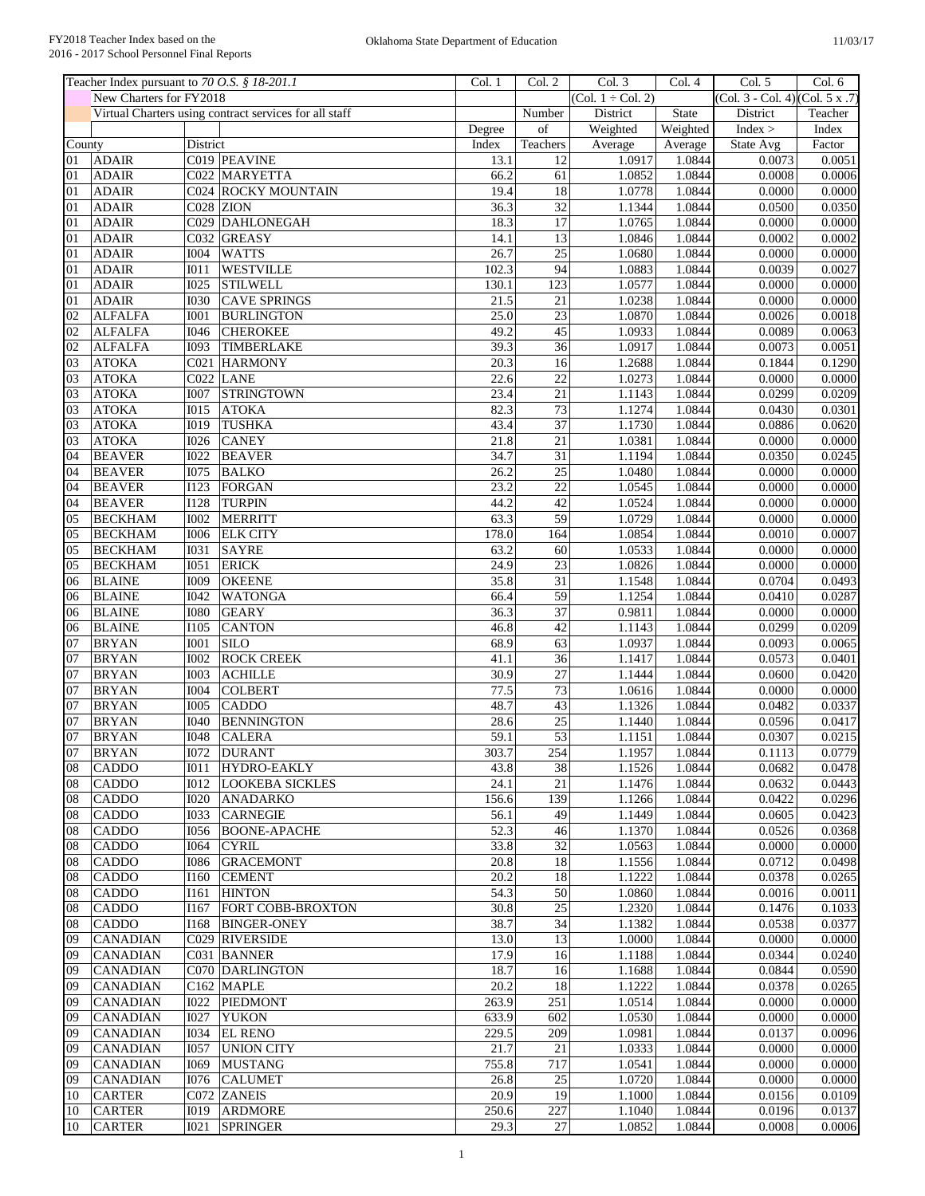|                       | Teacher Index pursuant to 70 O.S. § 18-201.1 |             |                                                        | Col. 1 | Col. 2          | Col. 3                 | Col. 4   | Col. 5                          | Col. 6  |
|-----------------------|----------------------------------------------|-------------|--------------------------------------------------------|--------|-----------------|------------------------|----------|---------------------------------|---------|
|                       | New Charters for FY2018                      |             |                                                        |        |                 | $(Col. 1 \div Col. 2)$ |          | (Col. 3 - Col. 4) (Col. 5 x .7) |         |
|                       |                                              |             | Virtual Charters using contract services for all staff |        | Number          | District               | State    | District                        | Teacher |
|                       |                                              |             |                                                        | Degree | of              | Weighted               | Weighted | Index >                         | Index   |
| County                |                                              | District    |                                                        | Index  | Teachers        | Average                | Average  | State Avg                       | Factor  |
| 01                    | <b>ADAIR</b>                                 |             | C019 PEAVINE                                           | 13.1   | 12              | 1.0917                 | 1.0844   | 0.0073                          | 0.0051  |
| 01                    | <b>ADAIR</b>                                 |             | C022 MARYETTA                                          | 66.2   | 61              | 1.0852                 | 1.0844   | 0.0008                          | 0.0006  |
| 01                    | <b>ADAIR</b>                                 |             | C024 ROCKY MOUNTAIN                                    | 19.4   | $\overline{18}$ | 1.0778                 | 1.0844   | 0.0000                          | 0.0000  |
| 01                    | <b>ADAIR</b>                                 |             | C028 ZION                                              | 36.3   | $\overline{32}$ | 1.1344                 | 1.0844   | 0.0500                          | 0.0350  |
| 01                    | <b>ADAIR</b>                                 |             | C029 DAHLONEGAH                                        | 18.3   | 17              | 1.0765                 | 1.0844   | 0.0000                          | 0.0000  |
| 01                    | <b>ADAIR</b>                                 |             | C032 GREASY                                            | 14.1   | $\overline{13}$ | 1.0846                 | 1.0844   | 0.0002                          | 0.0002  |
| 01                    | <b>ADAIR</b>                                 | <b>I004</b> | <b>WATTS</b>                                           | 26.7   | $\overline{25}$ | 1.0680                 | 1.0844   | 0.0000                          | 0.0000  |
| 01                    | <b>ADAIR</b>                                 | I011        | <b>WESTVILLE</b>                                       | 102.3  | 94              | 1.0883                 | 1.0844   | 0.0039                          | 0.0027  |
| 01                    | <b>ADAIR</b>                                 | I025        | <b>STILWELL</b>                                        | 130.1  | 123             | 1.0577                 | 1.0844   | 0.0000                          | 0.0000  |
| 01                    | <b>ADAIR</b>                                 | 1030        | <b>CAVE SPRINGS</b>                                    | 21.5   | 21              | 1.0238                 | 1.0844   | 0.0000                          | 0.0000  |
| 02                    | <b>ALFALFA</b>                               | <b>I001</b> | <b>BURLINGTON</b>                                      | 25.0   | $\overline{23}$ | 1.0870                 | 1.0844   | 0.0026                          | 0.0018  |
| $\overline{02}$       | <b>ALFALFA</b>                               | <b>I046</b> | <b>CHEROKEE</b>                                        | 49.2   | $\overline{45}$ | 1.0933                 | 1.0844   | 0.0089                          | 0.0063  |
| 02                    | <b>ALFALFA</b>                               | <b>I093</b> | <b>TIMBERLAKE</b>                                      | 39.3   | $\overline{36}$ | 1.0917                 | 1.0844   | 0.0073                          | 0.0051  |
| 03                    | <b>ATOKA</b>                                 |             | C021 HARMONY                                           | 20.3   | 16              | 1.2688                 | 1.0844   | 0.1844                          | 0.1290  |
| 03                    | <b>ATOKA</b>                                 |             | $CO22$ LANE                                            | 22.6   | $\overline{22}$ | 1.0273                 | 1.0844   | 0.0000                          | 0.0000  |
| 03                    | <b>ATOKA</b>                                 | <b>I007</b> | <b>STRINGTOWN</b>                                      | 23.4   | 21              | 1.1143                 | 1.0844   | 0.0299                          | 0.0209  |
| 03                    | <b>ATOKA</b>                                 | I015        | <b>ATOKA</b>                                           | 82.3   | 73              | 1.1274                 | 1.0844   | 0.0430                          | 0.0301  |
| 03                    | <b>ATOKA</b>                                 | <b>I019</b> | <b>TUSHKA</b>                                          | 43.4   | $\overline{37}$ | 1.1730                 | 1.0844   | 0.0886                          | 0.0620  |
| 03                    | <b>ATOKA</b>                                 | <b>I026</b> | <b>CANEY</b>                                           | 21.8   | 21              | 1.0381                 | 1.0844   | 0.0000                          | 0.0000  |
| 04                    | <b>BEAVER</b>                                | <b>I022</b> | <b>BEAVER</b>                                          | 34.7   | 31              | 1.1194                 | 1.0844   | 0.0350                          | 0.0245  |
| 04                    | <b>BEAVER</b>                                | 1075        | <b>BALKO</b>                                           | 26.2   | $\overline{25}$ | 1.0480                 | 1.0844   | 0.0000                          | 0.0000  |
| 04                    | <b>BEAVER</b>                                | 1123        | <b>FORGAN</b>                                          | 23.2   | $\overline{22}$ | 1.0545                 | 1.0844   | 0.0000                          | 0.0000  |
| 04                    | <b>BEAVER</b>                                | <b>I128</b> | <b>TURPIN</b>                                          | 44.2   | 42              | 1.0524                 | 1.0844   | 0.0000                          | 0.0000  |
| 05                    | <b>BECKHAM</b>                               | 1002        | <b>MERRITT</b>                                         | 63.3   | 59              | 1.0729                 | 1.0844   | 0.0000                          | 0.0000  |
| 05                    | <b>BECKHAM</b>                               | 1006        | <b>ELK CITY</b>                                        | 178.0  | 164             | 1.0854                 | 1.0844   | 0.0010                          | 0.0007  |
|                       | <b>BECKHAM</b>                               | 1031        | <b>SAYRE</b>                                           | 63.2   | 60              | 1.0533                 | 1.0844   | 0.0000                          | 0.0000  |
| 05<br>$\overline{05}$ |                                              |             |                                                        |        | $\overline{23}$ |                        | 1.0844   | 0.0000                          | 0.0000  |
|                       | <b>BECKHAM</b>                               | I051        | <b>ERICK</b>                                           | 24.9   |                 | 1.0826                 |          |                                 |         |
| 06                    | <b>BLAINE</b>                                | <b>I009</b> | <b>OKEENE</b>                                          | 35.8   | $\overline{31}$ | 1.1548                 | 1.0844   | 0.0704                          | 0.0493  |
| 06                    | <b>BLAINE</b>                                | <b>I042</b> | <b>WATONGA</b>                                         | 66.4   | 59              | 1.1254                 | 1.0844   | 0.0410                          | 0.0287  |
| 06                    | <b>BLAINE</b>                                | 1080        | <b>GEARY</b>                                           | 36.3   | $\overline{37}$ | 0.9811                 | 1.0844   | 0.0000                          | 0.0000  |
| 06                    | <b>BLAINE</b>                                | <b>I105</b> | <b>CANTON</b>                                          | 46.8   | 42              | 1.1143                 | 1.0844   | 0.0299                          | 0.0209  |
| 07                    | <b>BRYAN</b>                                 | <b>I001</b> | <b>SILO</b>                                            | 68.9   | 63              | 1.0937                 | 1.0844   | 0.0093                          | 0.0065  |
| 07                    | <b>BRYAN</b>                                 | <b>I002</b> | <b>ROCK CREEK</b>                                      | 41.1   | 36              | 1.1417                 | 1.0844   | 0.0573                          | 0.0401  |
| 07                    | <b>BRYAN</b>                                 | <b>I003</b> | <b>ACHILLE</b>                                         | 30.9   | $\overline{27}$ | 1.1444                 | 1.0844   | 0.0600                          | 0.0420  |
| 07                    | <b>BRYAN</b>                                 | <b>I004</b> | <b>COLBERT</b>                                         | 77.5   | 73              | 1.0616                 | 1.0844   | 0.0000                          | 0.0000  |
| 07                    | <b>BRYAN</b>                                 | <b>I005</b> | CADDO                                                  | 48.7   | 43              | 1.1326                 | 1.0844   | 0.0482                          | 0.0337  |
| 07                    | <b>BRYAN</b>                                 | <b>I040</b> | <b>BENNINGTON</b>                                      | 28.6   | $\overline{25}$ | 1.1440                 | 1.0844   | 0.0596                          | 0.0417  |
| 07                    | <b>BRYAN</b>                                 | <b>I048</b> | <b>CALERA</b>                                          | 59.1   | $\overline{53}$ | 1.1151                 | 1.0844   | 0.0307                          | 0.0215  |
| 07                    | <b>BRYAN</b>                                 |             | 1072 DURANT                                            | 303.7  | 254             | 1.1957                 | 1.0844   | 0.1113                          | 0.0779  |
| 08                    | <b>CADDO</b>                                 | I011        | HYDRO-EAKLY                                            | 43.8   | 38              | 1.1526                 | 1.0844   | 0.0682                          | 0.0478  |
| 08                    | <b>CADDO</b>                                 | I012        | <b>LOOKEBA SICKLES</b>                                 | 24.1   | 21              | 1.1476                 | 1.0844   | 0.0632                          | 0.0443  |
| 08                    | <b>CADDO</b>                                 |             | <b>I020 ANADARKO</b>                                   | 156.6  | 139             | 1.1266                 | 1.0844   | 0.0422                          | 0.0296  |
| 08                    | <b>CADDO</b>                                 | 1033        | <b>CARNEGIE</b>                                        | 56.1   | 49              | 1.1449                 | 1.0844   | 0.0605                          | 0.0423  |
| 08                    | <b>CADDO</b>                                 | 1056        | <b>BOONE-APACHE</b>                                    | 52.3   | 46              | 1.1370                 | 1.0844   | 0.0526                          | 0.0368  |
| 08                    | <b>CADDO</b>                                 | 1064        | <b>CYRIL</b>                                           | 33.8   | 32              | 1.0563                 | 1.0844   | 0.0000                          | 0.0000  |
| 08                    | <b>CADDO</b>                                 | 1086        | <b>GRACEMONT</b>                                       | 20.8   | $\overline{18}$ | 1.1556                 | 1.0844   | 0.0712                          | 0.0498  |
| 08                    | <b>CADDO</b>                                 | I160        | <b>CEMENT</b>                                          | 20.2   | 18              | 1.1222                 | 1.0844   | 0.0378                          | 0.0265  |
| 08                    | <b>CADDO</b>                                 | I161        | <b>HINTON</b>                                          | 54.3   | 50              | 1.0860                 | 1.0844   | 0.0016                          | 0.0011  |
| 08                    | <b>CADDO</b>                                 | I167        | FORT COBB-BROXTON                                      | 30.8   | $\overline{25}$ | 1.2320                 | 1.0844   | 0.1476                          | 0.1033  |
| 08                    | CADDO                                        | I168        | <b>BINGER-ONEY</b>                                     | 38.7   | 34              | 1.1382                 | 1.0844   | 0.0538                          | 0.0377  |
| 09                    | <b>CANADIAN</b>                              |             | C029 RIVERSIDE                                         | 13.0   | $\overline{13}$ | 1.0000                 | 1.0844   | 0.0000                          | 0.0000  |
| 09                    | <b>CANADIAN</b>                              |             | C031 BANNER                                            | 17.9   | 16              | 1.1188                 | 1.0844   | 0.0344                          | 0.0240  |
| 09                    | <b>CANADIAN</b>                              |             | C070 DARLINGTON                                        | 18.7   | 16              | 1.1688                 | 1.0844   | 0.0844                          | 0.0590  |
|                       |                                              |             |                                                        | 20.2   | 18              |                        | 1.0844   | 0.0378                          |         |
| 09                    | <b>CANADIAN</b>                              |             | C <sub>162</sub> MAPLE                                 |        |                 | 1.1222                 |          |                                 | 0.0265  |
| 09                    | <b>CANADIAN</b>                              | I022        | <b>PIEDMONT</b>                                        | 263.9  | 251             | 1.0514                 | 1.0844   | 0.0000                          | 0.0000  |
| 09                    | <b>CANADIAN</b>                              | <b>I027</b> | <b>YUKON</b>                                           | 633.9  | 602             | 1.0530                 | 1.0844   | 0.0000                          | 0.0000  |
| 09                    | <b>CANADIAN</b>                              | I034        | <b>EL RENO</b>                                         | 229.5  | 209             | 1.0981                 | 1.0844   | 0.0137                          | 0.0096  |
| 09                    | <b>CANADIAN</b>                              | I057        | <b>UNION CITY</b>                                      | 21.7   | 21              | 1.0333                 | 1.0844   | 0.0000                          | 0.0000  |
| 09                    | <b>CANADIAN</b>                              | I069        | <b>MUSTANG</b>                                         | 755.8  | 717             | 1.0541                 | 1.0844   | 0.0000                          | 0.0000  |
| 09                    | <b>CANADIAN</b>                              | I076        | <b>CALUMET</b>                                         | 26.8   | 25              | 1.0720                 | 1.0844   | 0.0000                          | 0.0000  |
| 10                    | <b>CARTER</b>                                |             | C072 ZANEIS                                            | 20.9   | 19              | 1.1000                 | 1.0844   | 0.0156                          | 0.0109  |
| 10                    | <b>CARTER</b>                                |             | I019 ARDMORE                                           | 250.6  | 227             | 1.1040                 | 1.0844   | 0.0196                          | 0.0137  |
| 10                    | <b>CARTER</b>                                | <b>IO21</b> | <b>SPRINGER</b>                                        | 29.3   | 27              | 1.0852                 | 1.0844   | 0.0008                          | 0.0006  |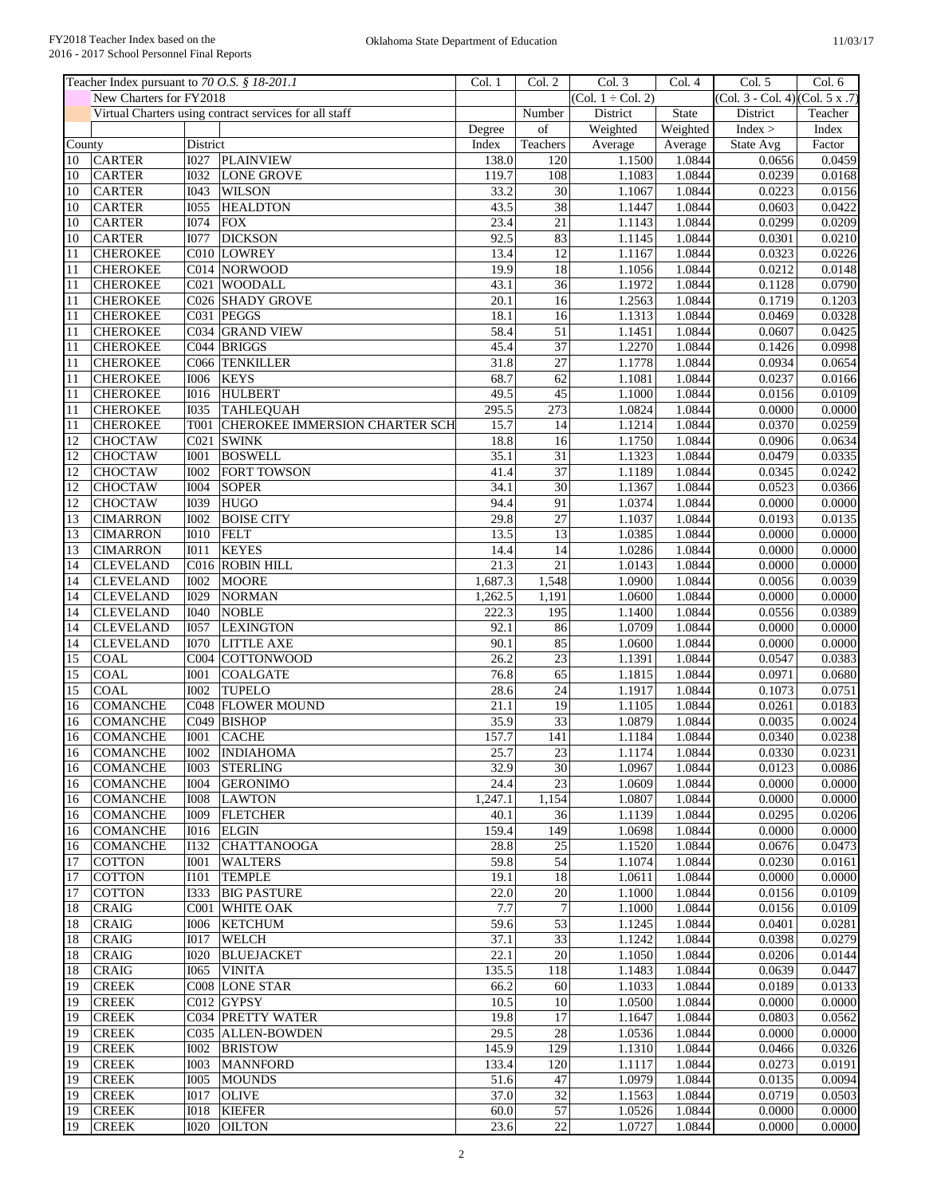|                 | Teacher Index pursuant to 70 O.S. § 18-201.1 |                  |                                                        | Col. 1            | Col. 2          | Col. 3                 | Col.4        | Col. 5                          | Col. 6  |
|-----------------|----------------------------------------------|------------------|--------------------------------------------------------|-------------------|-----------------|------------------------|--------------|---------------------------------|---------|
|                 | New Charters for FY2018                      |                  |                                                        |                   |                 | $(Col. 1 \div Col. 2)$ |              | (Col. 3 - Col. 4) (Col. 5 x .7) |         |
|                 |                                              |                  | Virtual Charters using contract services for all staff |                   | Number          | District               | <b>State</b> | District                        | Teacher |
|                 |                                              |                  |                                                        | Degree            | of              | Weighted               | Weighted     | Index >                         | Index   |
| County          |                                              | District         |                                                        | Index             | Teachers        | Average                | Average      | State Avg                       | Factor  |
| 10              | <b>CARTER</b>                                | <b>I027</b>      | PLAINVIEW                                              | 138.0             | 120             | 1.1500                 | 1.0844       | 0.0656                          | 0.0459  |
| 10              | <b>CARTER</b>                                | 1032             | <b>LONE GROVE</b>                                      | 119.7             | 108             | 1.1083                 | 1.0844       | 0.0239                          | 0.0168  |
| 10              | <b>CARTER</b>                                | <b>I043</b>      | <b>WILSON</b>                                          | 33.2              | 30              | 1.1067                 | 1.0844       | 0.0223                          | 0.0156  |
| 10              | <b>CARTER</b>                                | <b>I055</b>      | <b>HEALDTON</b>                                        | 43.5              | 38              | 1.1447                 | 1.0844       | 0.0603                          | 0.0422  |
| 10              | <b>CARTER</b>                                | <b>I074</b>      | <b>FOX</b>                                             | 23.4              | 21              | 1.1143                 | 1.0844       | 0.0299                          | 0.0209  |
| 10              | <b>CARTER</b>                                | <b>I077</b>      | <b>DICKSON</b>                                         | 92.5              | 83              | 1.1145                 | 1.0844       | 0.0301                          | 0.0210  |
| 11              | <b>CHEROKEE</b>                              |                  | C010 LOWREY                                            | 13.4              | $\overline{12}$ | 1.1167                 | 1.0844       | 0.0323                          | 0.0226  |
| 11              | <b>CHEROKEE</b>                              |                  | C014 NORWOOD                                           | 19.9              | $\overline{18}$ | 1.1056                 | 1.0844       | 0.0212                          | 0.0148  |
| 11              | <b>CHEROKEE</b>                              |                  | C021 WOODALL                                           | 43.1              | $\overline{36}$ | 1.1972                 | 1.0844       | 0.1128                          | 0.0790  |
| 11              | <b>CHEROKEE</b>                              |                  | C026 SHADY GROVE                                       | 20.1              | $\overline{16}$ | 1.2563                 | 1.0844       | 0.1719                          | 0.1203  |
| 11              | <b>CHEROKEE</b>                              |                  | C031 PEGGS                                             | 18.1              | 16              | 1.1313                 | 1.0844       | 0.0469                          | 0.0328  |
| 11              | <b>CHEROKEE</b>                              |                  | C034 GRAND VIEW                                        | 58.4              | 51              | 1.1451                 | 1.0844       | 0.0607                          | 0.0425  |
| 11              | <b>CHEROKEE</b>                              |                  | C044 BRIGGS                                            | 45.4              | $\overline{37}$ | 1.2270                 | 1.0844       | 0.1426                          | 0.0998  |
| 11              | <b>CHEROKEE</b>                              |                  | C066 TENKILLER                                         | 31.8              | 27              | 1.1778                 | 1.0844       | 0.0934                          | 0.0654  |
| 11              | <b>CHEROKEE</b>                              | <b>I006</b>      | <b>KEYS</b>                                            | 68.7              | 62              | 1.1081                 | 1.0844       | 0.0237                          | 0.0166  |
|                 |                                              | <b>I016</b>      | <b>HULBERT</b>                                         |                   | $\overline{45}$ | 1.1000                 | 1.0844       | 0.0156                          |         |
| 11              | <b>CHEROKEE</b>                              |                  |                                                        | 49.5              |                 |                        |              |                                 | 0.0109  |
| 11              | <b>CHEROKEE</b>                              | <b>I035</b>      | <b>TAHLEQUAH</b>                                       | 295.5             | 273             | 1.0824                 | 1.0844       | 0.0000                          | 0.0000  |
| 11              | <b>CHEROKEE</b>                              |                  | T001 CHEROKEE IMMERSION CHARTER SCH                    | 15.7              | 14              | 1.1214                 | 1.0844       | 0.0370                          | 0.0259  |
| 12              | <b>CHOCTAW</b>                               | C <sub>021</sub> | <b>SWINK</b>                                           | 18.8              | 16              | 1.1750                 | 1.0844       | 0.0906                          | 0.0634  |
| 12              | <b>CHOCTAW</b>                               | <b>I001</b>      | <b>BOSWELL</b>                                         | 35.1              | 31              | 1.1323                 | 1.0844       | 0.0479                          | 0.0335  |
| $\overline{12}$ | <b>CHOCTAW</b>                               | <b>I002</b>      | <b>FORT TOWSON</b>                                     | 41.4              | $\overline{37}$ | 1.1189                 | 1.0844       | 0.0345                          | 0.0242  |
| 12              | <b>CHOCTAW</b>                               | <b>I004</b>      | <b>SOPER</b>                                           | 34.1              | 30              | 1.1367                 | 1.0844       | 0.0523                          | 0.0366  |
| $\overline{12}$ | <b>CHOCTAW</b>                               | <b>I039</b>      | <b>HUGO</b>                                            | 94.4              | 91              | 1.0374                 | 1.0844       | 0.0000                          | 0.0000  |
| 13              | <b>CIMARRON</b>                              | <b>I002</b>      | <b>BOISE CITY</b>                                      | 29.8              | 27              | 1.1037                 | 1.0844       | 0.0193                          | 0.0135  |
| 13              | <b>CIMARRON</b>                              | <b>I010</b>      | <b>FELT</b>                                            | 13.5              | $\overline{13}$ | 1.0385                 | 1.0844       | 0.0000                          | 0.0000  |
| 13              | <b>CIMARRON</b>                              | <b>I011</b>      | <b>KEYES</b>                                           | 14.4              | $\overline{14}$ | 1.0286                 | 1.0844       | 0.0000                          | 0.0000  |
| $\overline{14}$ | <b>CLEVELAND</b>                             |                  | C016 ROBIN HILL                                        | $\overline{21.3}$ | $\overline{21}$ | 1.0143                 | 1.0844       | 0.0000                          | 0.0000  |
| 14              | <b>CLEVELAND</b>                             | <b>I002</b>      | <b>MOORE</b>                                           | 1,687.3           | 1,548           | 1.0900                 | 1.0844       | 0.0056                          | 0.0039  |
| 14              | <b>CLEVELAND</b>                             | <b>I029</b>      | <b>NORMAN</b>                                          | 1,262.5           | 1,191           | 1.0600                 | 1.0844       | 0.0000                          | 0.0000  |
| 14              | <b>CLEVELAND</b>                             | <b>I040</b>      | <b>NOBLE</b>                                           | 222.3             | 195             | 1.1400                 | 1.0844       | 0.0556                          | 0.0389  |
| 14              | <b>CLEVELAND</b>                             | <b>I057</b>      | <b>LEXINGTON</b>                                       | 92.1              | 86              | 1.0709                 | 1.0844       | 0.0000                          | 0.0000  |
| 14              | <b>CLEVELAND</b>                             | <b>I070</b>      | <b>LITTLE AXE</b>                                      | 90.1              | 85              | 1.0600                 | 1.0844       | 0.0000                          | 0.0000  |
| 15              | <b>COAL</b>                                  |                  | C004 COTTONWOOD                                        | 26.2              | 23              | 1.1391                 | 1.0844       | 0.0547                          | 0.0383  |
| $\overline{15}$ | COAL                                         | <b>I001</b>      | <b>COALGATE</b>                                        | 76.8              | 65              | 1.1815                 | 1.0844       | 0.0971                          | 0.0680  |
| 15              | <b>COAL</b>                                  | <b>I002</b>      | <b>TUPELO</b>                                          | 28.6              | 24              | 1.1917                 | 1.0844       | 0.1073                          | 0.0751  |
| 16              | <b>COMANCHE</b>                              |                  | C048 FLOWER MOUND                                      | 21.1              | $\overline{19}$ | 1.1105                 | 1.0844       | 0.0261                          | 0.0183  |
| 16              | <b>COMANCHE</b>                              |                  | C049 BISHOP                                            | 35.9              | 33              | 1.0879                 | 1.0844       | 0.0035                          | 0.0024  |
| 16              | <b>COMANCHE</b>                              | <b>IOO1</b>      | CACHE                                                  | 157.7             | 141             | 1.1184                 | 1.0844       | 0.0340                          | 0.0238  |
| 16              | <b>COMANCHE</b>                              |                  | 1002   INDIAHOMA                                       | 25.7              | 23              | 1.1174                 | 1.0844       | 0.0330                          | 0.0231  |
|                 |                                              |                  |                                                        | 32.9              | 30              |                        | 1.0844       |                                 | 0.0086  |
| 16              | <b>COMANCHE</b>                              | <b>IOO3</b>      | <b>STERLING</b>                                        |                   |                 | 1.0967                 |              | 0.0123                          |         |
| 16              | <b>COMANCHE</b>                              | <b>I004</b>      | <b>GERONIMO</b>                                        | 24.4              | 23              | 1.0609                 | 1.0844       | 0.0000                          | 0.0000  |
| 16              | <b>COMANCHE</b>                              | <b>IOO8</b>      | <b>LAWTON</b>                                          | 1,247.1           | 1,154           | 1.0807                 | 1.0844       | 0.0000                          | 0.0000  |
| 16              | <b>COMANCHE</b>                              | I009             | <b>FLETCHER</b>                                        | 40.1              | 36              | 1.1139                 | 1.0844       | 0.0295                          | 0.0206  |
| 16              | <b>COMANCHE</b>                              | I016             | <b>ELGIN</b>                                           | 159.4             | 149             | 1.0698                 | 1.0844       | 0.0000                          | 0.0000  |
| 16              | <b>COMANCHE</b>                              | I132             | <b>CHATTANOOGA</b>                                     | 28.8              | 25              | 1.1520                 | 1.0844       | 0.0676                          | 0.0473  |
| 17              | <b>COTTON</b>                                | <b>IOO1</b>      | <b>WALTERS</b>                                         | 59.8              | $\overline{54}$ | 1.1074                 | 1.0844       | 0.0230                          | 0.0161  |
| 17              | <b>COTTON</b>                                | I101             | <b>TEMPLE</b>                                          | 19.1              | 18              | 1.0611                 | 1.0844       | 0.0000                          | 0.0000  |
| 17              | <b>COTTON</b>                                | 1333             | <b>BIG PASTURE</b>                                     | 22.0              | $20\,$          | 1.1000                 | 1.0844       | 0.0156                          | 0.0109  |
| 18              | <b>CRAIG</b>                                 |                  | C001 WHITE OAK                                         | 7.7               | $\overline{7}$  | 1.1000                 | 1.0844       | 0.0156                          | 0.0109  |
| 18              | <b>CRAIG</b>                                 | 1006             | <b>KETCHUM</b>                                         | 59.6              | 53              | 1.1245                 | 1.0844       | 0.0401                          | 0.0281  |
| 18              | <b>CRAIG</b>                                 | <b>IO17</b>      | <b>WELCH</b>                                           | 37.1              | 33              | 1.1242                 | 1.0844       | 0.0398                          | 0.0279  |
| 18              | <b>CRAIG</b>                                 | <b>I020</b>      | <b>BLUEJACKET</b>                                      | 22.1              | 20              | 1.1050                 | 1.0844       | 0.0206                          | 0.0144  |
| 18              | <b>CRAIG</b>                                 | I065             | <b>VINITA</b>                                          | 135.5             | 118             | 1.1483                 | 1.0844       | 0.0639                          | 0.0447  |
| 19              | <b>CREEK</b>                                 |                  | C008 LONE STAR                                         | 66.2              | 60              | 1.1033                 | 1.0844       | 0.0189                          | 0.0133  |
| 19              | <b>CREEK</b>                                 |                  | C012 GYPSY                                             | 10.5              | 10              | 1.0500                 | 1.0844       | 0.0000                          | 0.0000  |
| 19              | <b>CREEK</b>                                 |                  | C034 PRETTY WATER                                      | 19.8              | 17              | 1.1647                 | 1.0844       | 0.0803                          | 0.0562  |
| 19              | <b>CREEK</b>                                 |                  | C035 ALLEN-BOWDEN                                      | 29.5              | $\overline{28}$ | 1.0536                 | 1.0844       | 0.0000                          | 0.0000  |
| 19              | <b>CREEK</b>                                 | 1002             | <b>BRISTOW</b>                                         | 145.9             | 129             | 1.1310                 | 1.0844       | 0.0466                          | 0.0326  |
| 19              | <b>CREEK</b>                                 | <b>IOO3</b>      | <b>MANNFORD</b>                                        | 133.4             | 120             | 1.1117                 | 1.0844       | 0.0273                          | 0.0191  |
| 19              | <b>CREEK</b>                                 | <b>I005</b>      | <b>MOUNDS</b>                                          | 51.6              | 47              | 1.0979                 | 1.0844       | 0.0135                          | 0.0094  |
| 19              | <b>CREEK</b>                                 | <b>IO17</b>      | <b>OLIVE</b>                                           | 37.0              | $\overline{32}$ | 1.1563                 | 1.0844       | 0.0719                          | 0.0503  |
| 19              | <b>CREEK</b>                                 | I018             | <b>KIEFER</b>                                          | 60.0              | 57              | 1.0526                 | 1.0844       | 0.0000                          | 0.0000  |
| 19              | <b>CREEK</b>                                 | <b>I020</b>      | <b>OILTON</b>                                          | 23.6              | $22\,$          | 1.0727                 | 1.0844       | 0.0000                          | 0.0000  |
|                 |                                              |                  |                                                        |                   |                 |                        |              |                                 |         |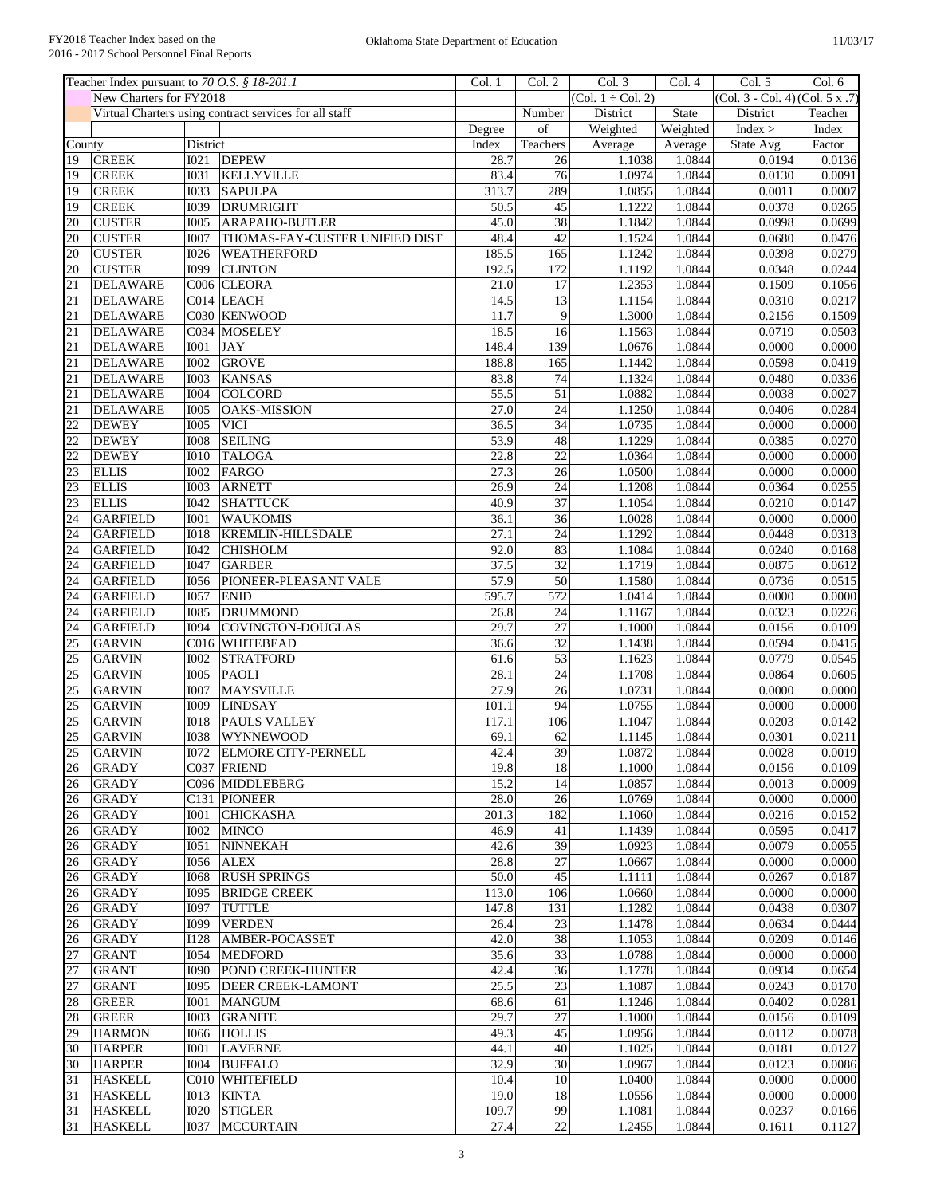|                 |                         | Teacher Index pursuant to 70 O.S. § 18-201.1           | Col. 1 | Col. 2          | Col. 3                 | Col. 4   | Col. 5                          | Col. 6           |
|-----------------|-------------------------|--------------------------------------------------------|--------|-----------------|------------------------|----------|---------------------------------|------------------|
|                 | New Charters for FY2018 |                                                        |        |                 | $(Col. 1 \div Col. 2)$ |          | (Col. 3 - Col. 4) (Col. 5 x .7) |                  |
|                 |                         | Virtual Charters using contract services for all staff |        | Number          | District               | State    | District                        | Teacher          |
|                 |                         |                                                        | Degree | of              | Weighted               | Weighted | Index >                         | Index            |
| County          |                         | District                                               | Index  | Teachers        | Average                | Average  | State Avg                       | Factor           |
| $\overline{19}$ | <b>CREEK</b>            | I <sub>021</sub><br><b>DEPEW</b>                       | 28.7   | 26              | 1.1038                 | 1.0844   | 0.0194                          | 0.0136           |
| 19              | <b>CREEK</b>            | 1031<br><b>KELLYVILLE</b>                              | 83.4   | 76              | 1.0974                 | 1.0844   | 0.0130                          | 0.0091           |
| 19              | <b>CREEK</b>            | <b>I033</b><br><b>SAPULPA</b>                          | 313.7  | 289             | 1.0855                 | 1.0844   | 0.0011                          | 0.0007           |
| 19              | <b>CREEK</b>            | <b>I039</b><br><b>DRUMRIGHT</b>                        | 50.5   | 45              | 1.1222                 | 1.0844   | 0.0378                          | 0.0265           |
| 20              | <b>CUSTER</b>           | <b>ARAPAHO-BUTLER</b><br>1005                          | 45.0   | 38              | 1.1842                 | 1.0844   | 0.0998                          | 0.0699           |
| 20              | <b>CUSTER</b>           | <b>I007</b><br>THOMAS-FAY-CUSTER UNIFIED DIST          | 48.4   | 42              | 1.1524                 | 1.0844   | 0.0680                          | 0.0476           |
| 20              | <b>CUSTER</b>           | <b>I026</b><br>WEATHERFORD                             | 185.5  | 165             | 1.1242                 | 1.0844   | 0.0398                          | 0.0279           |
| 20              | <b>CUSTER</b>           | I099<br><b>CLINTON</b>                                 | 192.5  | 172             | 1.1192                 | 1.0844   | 0.0348                          | 0.0244           |
| 21              | <b>DELAWARE</b>         | C006 CLEORA                                            | 21.0   | 17              | 1.2353                 | 1.0844   | 0.1509                          | 0.1056           |
| $\overline{21}$ | <b>DELAWARE</b>         | C014 LEACH                                             | 14.5   | $\overline{13}$ | 1.1154                 | 1.0844   | 0.0310                          | 0.0217           |
| 21              | <b>DELAWARE</b>         | C030 KENWOOD                                           | 11.7   | $\overline{9}$  | 1.3000                 | 1.0844   | 0.2156                          | 0.1509           |
| $\overline{21}$ | <b>DELAWARE</b>         | C034 MOSELEY                                           | 18.5   | 16              | 1.1563                 | 1.0844   | 0.0719                          | 0.0503           |
| 21              | <b>DELAWARE</b>         | <b>JAY</b><br><b>I001</b>                              | 148.4  | 139             | 1.0676                 | 1.0844   | 0.0000                          | 0.0000           |
| $\overline{21}$ | <b>DELAWARE</b>         | <b>GROVE</b><br>1002                                   | 188.8  | 165             | 1.1442                 | 1.0844   | 0.0598                          | 0.0419           |
| 21              | <b>DELAWARE</b>         | <b>KANSAS</b><br><b>I003</b>                           | 83.8   | 74              | 1.1324                 | 1.0844   | 0.0480                          | 0.0336           |
| $\overline{21}$ | <b>DELAWARE</b>         | COLCORD<br><b>I004</b>                                 | 55.5   | $\overline{51}$ | 1.0882                 | 1.0844   | 0.0038                          | 0.0027           |
| 21              | <b>DELAWARE</b>         | 1005<br><b>OAKS-MISSION</b>                            | 27.0   | $\overline{24}$ | 1.1250                 | 1.0844   | 0.0406                          | 0.0284           |
| 22              | <b>DEWEY</b>            | <b>VICI</b><br><b>I005</b>                             | 36.5   | $\overline{34}$ | 1.0735                 | 1.0844   | 0.0000                          | 0.0000           |
| $\overline{22}$ | <b>DEWEY</b>            | <b>SEILING</b><br>1008                                 | 53.9   | $\overline{48}$ | 1.1229                 | 1.0844   | 0.0385                          | 0.0270           |
| $\overline{22}$ | <b>DEWEY</b>            | <b>I010</b><br><b>TALOGA</b>                           | 22.8   | 22              | 1.0364                 | 1.0844   | 0.0000                          | 0.0000           |
| 23              | <b>ELLIS</b>            | 1002<br>FARGO                                          | 27.3   | $\overline{26}$ | 1.0500                 | 1.0844   | 0.0000                          | 0.0000           |
| 23              | <b>ELLIS</b>            | <b>IOO3</b><br><b>ARNETT</b>                           | 26.9   | 24              | 1.1208                 | 1.0844   | 0.0364                          | 0.0255           |
| 23              | <b>ELLIS</b>            | <b>SHATTUCK</b><br><b>I042</b>                         | 40.9   | $\overline{37}$ | 1.1054                 | 1.0844   | 0.0210                          | 0.0147           |
| 24              | <b>GARFIELD</b>         | <b>WAUKOMIS</b><br><b>I001</b>                         | 36.1   | $\overline{36}$ | 1.0028                 | 1.0844   | 0.0000                          | 0.0000           |
| $\overline{24}$ | <b>GARFIELD</b>         | <b>KREMLIN-HILLSDALE</b><br>1018                       | 27.1   | $\overline{24}$ | 1.1292                 | 1.0844   | 0.0448                          | 0.0313           |
| $\overline{24}$ | <b>GARFIELD</b>         | I042<br><b>CHISHOLM</b>                                | 92.0   | 83              | 1.1084                 | 1.0844   | 0.0240                          | 0.0168           |
| 24              | <b>GARFIELD</b>         | <b>I047</b><br><b>GARBER</b>                           | 37.5   | $\overline{32}$ | 1.1719                 | 1.0844   | 0.0875                          | 0.0612           |
| 24              |                         | 1056<br>PIONEER-PLEASANT VALE                          | 57.9   | $\overline{50}$ | 1.1580                 | 1.0844   |                                 |                  |
| $\overline{24}$ | <b>GARFIELD</b>         | 1057<br><b>ENID</b>                                    | 595.7  | 572             | 1.0414                 | 1.0844   | 0.0736<br>0.0000                | 0.0515           |
| $\overline{24}$ | <b>GARFIELD</b>         |                                                        |        |                 |                        |          |                                 | 0.0000<br>0.0226 |
|                 | <b>GARFIELD</b>         | <b>DRUMMOND</b><br>1085                                | 26.8   | 24              | 1.1167                 | 1.0844   | 0.0323                          |                  |
| $\overline{24}$ | <b>GARFIELD</b>         | COVINGTON-DOUGLAS<br><b>I094</b>                       | 29.7   | $\overline{27}$ | 1.1000                 | 1.0844   | 0.0156                          | 0.0109           |
| 25              | <b>GARVIN</b>           | C016 WHITEBEAD                                         | 36.6   | $\overline{32}$ | 1.1438                 | 1.0844   | 0.0594                          | 0.0415           |
| $\overline{25}$ | <b>GARVIN</b>           | 1002<br><b>STRATFORD</b>                               | 61.6   | 53              | 1.1623                 | 1.0844   | 0.0779                          | 0.0545           |
| $\overline{25}$ | <b>GARVIN</b>           | <b>I005</b><br><b>PAOLI</b>                            | 28.1   | $\overline{24}$ | 1.1708                 | 1.0844   | 0.0864                          | 0.0605           |
| 25              | <b>GARVIN</b>           | <b>I007</b><br><b>MAYSVILLE</b>                        | 27.9   | $\overline{26}$ | 1.0731                 | 1.0844   | 0.0000                          | 0.0000           |
| $\overline{25}$ | <b>GARVIN</b>           | <b>I009</b><br><b>LINDSAY</b>                          | 101.1  | 94              | 1.0755                 | 1.0844   | 0.0000                          | 0.0000           |
| $\overline{25}$ | <b>GARVIN</b>           | <b>IO18</b><br><b>PAULS VALLEY</b>                     | 117.1  | 106             | 1.1047                 | 1.0844   | 0.0203                          | 0.0142           |
| 25              | <b>GARVIN</b>           | 1038<br>WYNNEWOOD                                      | 69.1   | 62              | 1.1145                 | 1.0844   | 0.0301                          | 0.0211           |
| 25              | <b>GARVIN</b>           | <b>I072 ELMORE CITY-PERNELL</b>                        | 42.4   | 39              | 1.0872                 | 1.0844   | 0.0028                          | 0.0019           |
| 26              | <b>GRADY</b>            | C037 FRIEND                                            | 19.8   | 18              | 1.1000                 | 1.0844   | 0.0156                          | 0.0109           |
| 26              | <b>GRADY</b>            | C096 MIDDLEBERG                                        | 15.2   | 14              | 1.0857                 | 1.0844   | 0.0013                          | 0.0009           |
| 26              | <b>GRADY</b>            | C131 PIONEER                                           | 28.0   | 26              | 1.0769                 | 1.0844   | 0.0000                          | 0.0000           |
| 26              | <b>GRADY</b>            | <b>CHICKASHA</b><br><b>IOO1</b>                        | 201.3  | 182             | 1.1060                 | 1.0844   | 0.0216                          | 0.0152           |
| 26              | <b>GRADY</b>            | <b>I002</b><br><b>MINCO</b>                            | 46.9   | 41              | 1.1439                 | 1.0844   | 0.0595                          | 0.0417           |
| 26              | <b>GRADY</b>            | <b>NINNEKAH</b><br>I051                                | 42.6   | 39              | 1.0923                 | 1.0844   | 0.0079                          | 0.0055           |
| 26              | <b>GRADY</b>            | <b>I056</b><br><b>ALEX</b>                             | 28.8   | $\overline{27}$ | 1.0667                 | 1.0844   | 0.0000                          | 0.0000           |
| 26              | <b>GRADY</b>            | <b>RUSH SPRINGS</b><br><b>I068</b>                     | 50.0   | 45              | 1.1111                 | 1.0844   | 0.0267                          | 0.0187           |
| $\overline{26}$ | <b>GRADY</b>            | <b>BRIDGE CREEK</b><br>I095                            | 113.0  | 106             | 1.0660                 | 1.0844   | 0.0000                          | 0.0000           |
| 26              | <b>GRADY</b>            | <b>TUTTLE</b><br><b>I097</b>                           | 147.8  | 131             | 1.1282                 | 1.0844   | 0.0438                          | 0.0307           |
| 26              | <b>GRADY</b>            | I099<br><b>VERDEN</b>                                  | 26.4   | 23              | 1.1478                 | 1.0844   | 0.0634                          | 0.0444           |
| $\overline{26}$ | <b>GRADY</b>            | $\overline{1128}$<br>AMBER-POCASSET                    | 42.0   | 38              | 1.1053                 | 1.0844   | 0.0209                          | 0.0146           |
| $\overline{27}$ | <b>GRANT</b>            | I054<br><b>MEDFORD</b>                                 | 35.6   | $\overline{33}$ | 1.0788                 | 1.0844   | 0.0000                          | 0.0000           |
| 27              | <b>GRANT</b>            | <b>I090</b><br><b>POND CREEK-HUNTER</b>                | 42.4   | $\overline{36}$ | 1.1778                 | 1.0844   | 0.0934                          | 0.0654           |
| $\overline{27}$ | <b>GRANT</b>            | I095<br><b>DEER CREEK-LAMONT</b>                       | 25.5   | 23              | 1.1087                 | 1.0844   | 0.0243                          | 0.0170           |
| 28              | <b>GREER</b>            | <b>I001</b><br><b>MANGUM</b>                           | 68.6   | 61              | 1.1246                 | 1.0844   | 0.0402                          | 0.0281           |
| 28              | <b>GREER</b>            | <b>IOO3</b><br><b>GRANITE</b>                          | 29.7   | $\overline{27}$ | 1.1000                 | 1.0844   | 0.0156                          | 0.0109           |
| 29              | <b>HARMON</b>           | <b>HOLLIS</b><br>I066                                  | 49.3   | 45              | 1.0956                 | 1.0844   | 0.0112                          | 0.0078           |
| 30              | <b>HARPER</b>           | <b>I001</b><br><b>LAVERNE</b>                          | 44.1   | 40              | 1.1025                 | 1.0844   | 0.0181                          | 0.0127           |
| 30              | <b>HARPER</b>           | <b>BUFFALO</b><br>I004                                 | 32.9   | 30              | 1.0967                 | 1.0844   | 0.0123                          | 0.0086           |
| 31              | <b>HASKELL</b>          | C010 WHITEFIELD                                        | 10.4   | 10              | 1.0400                 | 1.0844   | 0.0000                          | 0.0000           |
| 31              | <b>HASKELL</b>          | <b>IO13</b><br><b>KINTA</b>                            | 19.0   | 18              | 1.0556                 | 1.0844   | 0.0000                          | 0.0000           |
| 31              | <b>HASKELL</b>          | <b>STIGLER</b><br><b>I020</b>                          | 109.7  | 99              | 1.1081                 | 1.0844   | 0.0237                          | 0.0166           |
| 31              | <b>HASKELL</b>          | 1037   MCCURTAIN                                       | 27.4   | 22              | 1.2455                 | 1.0844   | 0.1611                          | 0.1127           |
|                 |                         |                                                        |        |                 |                        |          |                                 |                  |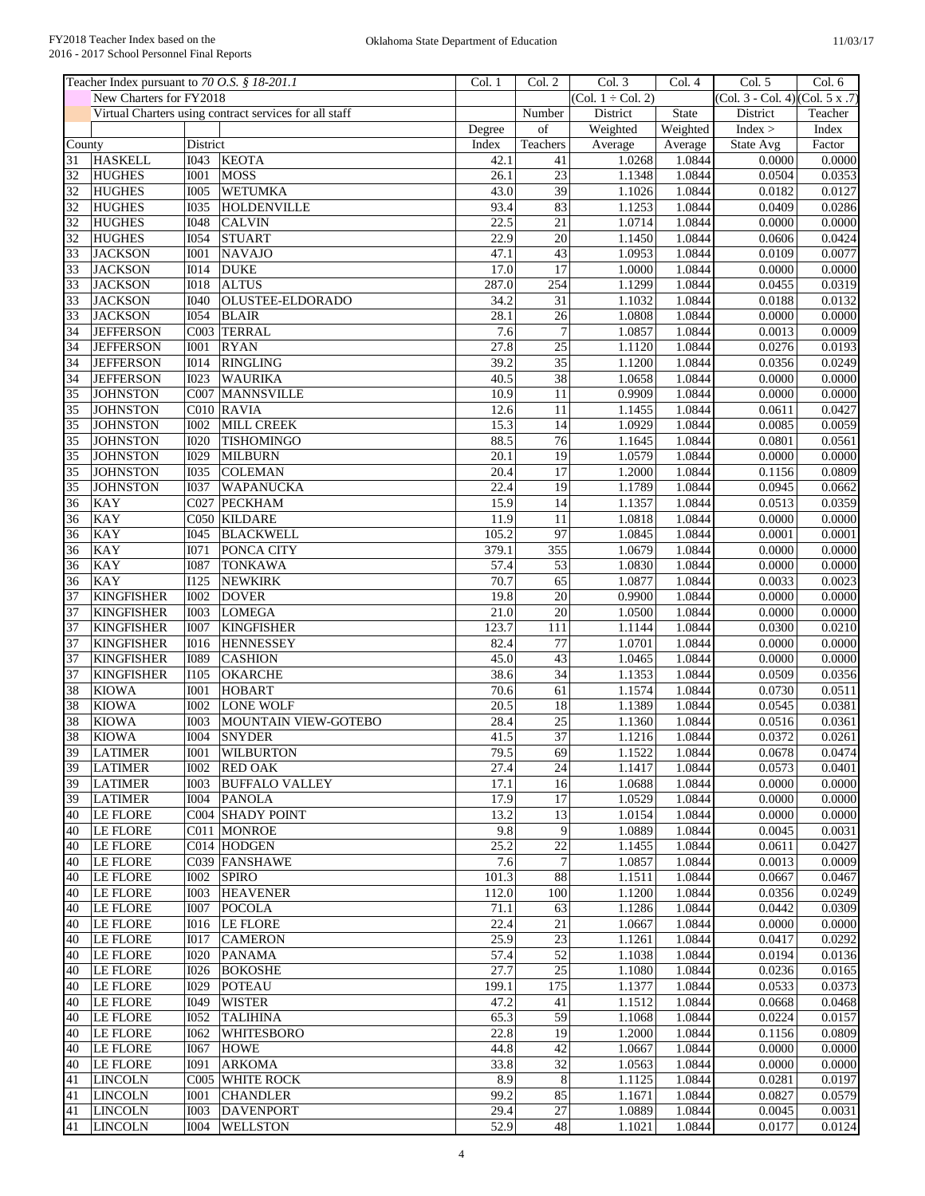|                 | Teacher Index pursuant to 70 O.S. § 18-201.1 |             |                                                        | Col. 1 | Col. 2          | Col. 3                 | Col.4        | Col. 5                          | Col. 6           |
|-----------------|----------------------------------------------|-------------|--------------------------------------------------------|--------|-----------------|------------------------|--------------|---------------------------------|------------------|
|                 | New Charters for FY2018                      |             |                                                        |        |                 | $(Col. 1 \div Col. 2)$ |              | (Col. 3 - Col. 4) (Col. 5 x .7) |                  |
|                 |                                              |             | Virtual Charters using contract services for all staff |        | Number          | District               | <b>State</b> | District                        | Teacher          |
|                 |                                              |             |                                                        | Degree | of              | Weighted               | Weighted     | Index >                         | Index            |
| County          |                                              | District    |                                                        | Index  | Teachers        | Average                | Average      | State Avg                       | Factor           |
| 31              | <b>HASKELL</b>                               | I043        | <b>KEOTA</b>                                           | 42.1   | 41              | 1.0268                 | 1.0844       | 0.0000                          | 0.0000           |
| 32              | <b>HUGHES</b>                                | <b>I001</b> | <b>MOSS</b>                                            | 26.1   | 23              | 1.1348                 | 1.0844       | 0.0504                          | 0.0353           |
| $\overline{32}$ | <b>HUGHES</b>                                | <b>I005</b> | <b>WETUMKA</b>                                         | 43.0   | $\overline{39}$ | 1.1026                 | 1.0844       | 0.0182                          | 0.0127           |
| $\overline{32}$ | <b>HUGHES</b>                                | <b>I035</b> | HOLDENVILLE                                            | 93.4   | 83              | 1.1253                 | 1.0844       | 0.0409                          | 0.0286           |
| 32              | <b>HUGHES</b>                                | <b>I048</b> | <b>CALVIN</b>                                          | 22.5   | 21              | 1.0714                 | 1.0844       | 0.0000                          | 0.0000           |
| 32              | <b>HUGHES</b>                                | <b>I054</b> | <b>STUART</b>                                          | 22.9   | $\overline{20}$ | 1.1450                 | 1.0844       | 0.0606                          | 0.0424           |
| 33              | <b>JACKSON</b>                               | <b>IOO1</b> | <b>NAVAJO</b>                                          | 47.1   | $\overline{43}$ | 1.0953                 | 1.0844       | 0.0109                          | 0.0077           |
| 33              | <b>JACKSON</b>                               | <b>I014</b> | <b>DUKE</b>                                            | 17.0   | 17              | 1.0000                 | 1.0844       | 0.0000                          | 0.0000           |
| 33              | <b>JACKSON</b>                               | <b>IO18</b> | <b>ALTUS</b>                                           | 287.0  | 254             | 1.1299                 | 1.0844       | 0.0455                          | 0.0319           |
| 33              | <b>JACKSON</b>                               | <b>I040</b> | OLUSTEE-ELDORADO                                       | 34.2   | 31              | 1.1032                 | 1.0844       | 0.0188                          | 0.0132           |
| 33              | <b>JACKSON</b>                               | <b>I054</b> | <b>BLAIR</b>                                           | 28.1   | 26              | 1.0808                 | 1.0844       | 0.0000                          | 0.0000           |
| 34              | <b>JEFFERSON</b>                             | C003        | <b>TERRAL</b>                                          | 7.6    | $\overline{7}$  | 1.0857                 | 1.0844       | 0.0013                          | 0.0009           |
| 34              | <b>JEFFERSON</b>                             | <b>I001</b> | <b>RYAN</b>                                            | 27.8   | $\overline{25}$ | 1.1120                 | 1.0844       | 0.0276                          | 0.0193           |
|                 |                                              | <b>I014</b> |                                                        | 39.2   | 35              | 1.1200                 | 1.0844       | 0.0356                          |                  |
| 34              | <b>JEFFERSON</b>                             |             | <b>RINGLING</b>                                        |        |                 |                        |              |                                 | 0.0249           |
| $\overline{34}$ | <b>JEFFERSON</b>                             | <b>I023</b> | <b>WAURIKA</b>                                         | 40.5   | $\overline{38}$ | 1.0658                 | 1.0844       | 0.0000                          | 0.0000           |
| $\overline{35}$ | <b>JOHNSTON</b>                              | C007        | <b>MANNSVILLE</b>                                      | 10.9   | 11              | 0.9909                 | 1.0844       | 0.0000                          | 0.0000           |
| 35              | <b>JOHNSTON</b>                              |             | C010 RAVIA                                             | 12.6   | $\overline{11}$ | 1.1455                 | 1.0844       | 0.0611                          | 0.0427           |
| 35              | <b>JOHNSTON</b>                              | <b>I002</b> | <b>MILL CREEK</b>                                      | 15.3   | 14              | 1.0929                 | 1.0844       | 0.0085                          | 0.0059           |
| $\overline{35}$ | <b>JOHNSTON</b>                              | <b>I020</b> | <b>TISHOMINGO</b>                                      | 88.5   | $\overline{76}$ | 1.1645                 | 1.0844       | 0.0801                          | 0.0561           |
| 35              | <b>JOHNSTON</b>                              | <b>I029</b> | <b>MILBURN</b>                                         | 20.1   | 19              | 1.0579                 | 1.0844       | 0.0000                          | 0.0000           |
| $\overline{35}$ | <b>JOHNSTON</b>                              | 1035        | <b>COLEMAN</b>                                         | 20.4   | $\overline{17}$ | 1.2000                 | 1.0844       | 0.1156                          | 0.0809           |
| 35              | <b>JOHNSTON</b>                              | <b>I037</b> | WAPANUCKA                                              | 22.4   | $\overline{19}$ | 1.1789                 | 1.0844       | 0.0945                          | 0.0662           |
| $\overline{36}$ | <b>KAY</b>                                   | C027        | <b>PECKHAM</b>                                         | 15.9   | 14              | 1.1357                 | 1.0844       | 0.0513                          | 0.0359           |
| 36              | <b>KAY</b>                                   |             | C050 KILDARE                                           | 11.9   | 11              | 1.0818                 | 1.0844       | 0.0000                          | 0.0000           |
| 36              | <b>KAY</b>                                   | <b>I045</b> | <b>BLACKWELL</b>                                       | 105.2  | $\overline{97}$ | 1.0845                 | 1.0844       | 0.0001                          | 0.0001           |
| 36              | <b>KAY</b>                                   | <b>I071</b> | PONCA CITY                                             | 379.1  | 355             | 1.0679                 | 1.0844       | 0.0000                          | 0.0000           |
| $\overline{36}$ | KAY                                          | <b>I087</b> | <b>TONKAWA</b>                                         | 57.4   | 53              | 1.0830                 | 1.0844       | 0.0000                          | 0.0000           |
| 36              | <b>KAY</b>                                   | <b>I125</b> | <b>NEWKIRK</b>                                         | 70.7   | 65              | 1.0877                 | 1.0844       | 0.0033                          | 0.0023           |
| 37              | <b>KINGFISHER</b>                            | <b>I002</b> | <b>DOVER</b>                                           | 19.8   | $\overline{20}$ | 0.9900                 | 1.0844       | 0.0000                          | 0.0000           |
| $\overline{37}$ | <b>KINGFISHER</b>                            | <b>I003</b> | <b>LOMEGA</b>                                          | 21.0   | $\overline{20}$ | 1.0500                 | 1.0844       | 0.0000                          | 0.0000           |
| 37              | <b>KINGFISHER</b>                            | <b>I007</b> | <b>KINGFISHER</b>                                      | 123.7  | 111             | 1.1144                 | 1.0844       | 0.0300                          | 0.0210           |
| 37              | <b>KINGFISHER</b>                            | <b>I016</b> | <b>HENNESSEY</b>                                       | 82.4   | 77              | 1.0701                 | 1.0844       | 0.0000                          | 0.0000           |
| 37              | <b>KINGFISHER</b>                            | <b>I089</b> | <b>CASHION</b>                                         | 45.0   | 43              | 1.0465                 | 1.0844       | 0.0000                          | 0.0000           |
| $\overline{37}$ | <b>KINGFISHER</b>                            | <b>I105</b> |                                                        | 38.6   | $\overline{34}$ |                        | 1.0844       | 0.0509                          |                  |
|                 |                                              | <b>IOO1</b> | <b>OKARCHE</b>                                         | 70.6   | 61              | 1.1353                 | 1.0844       |                                 | 0.0356           |
| 38              | <b>KIOWA</b>                                 |             | <b>HOBART</b>                                          |        |                 | 1.1574                 |              | 0.0730                          | 0.0511<br>0.0381 |
| $\overline{38}$ | <b>KIOWA</b>                                 | <b>I002</b> | <b>LONE WOLF</b>                                       | 20.5   | 18              | 1.1389                 | 1.0844       | 0.0545                          |                  |
| 38              | <b>KIOWA</b>                                 | <b>I003</b> | MOUNTAIN VIEW-GOTEBO                                   | 28.4   | $\overline{25}$ | 1.1360                 | 1.0844       | 0.0516                          | 0.0361           |
| 38              | <b>KIOWA</b>                                 | <b>I004</b> | <b>SNYDER</b>                                          | 41.5   | $\overline{37}$ | 1.1216                 | 1.0844       | 0.0372                          | 0.0261           |
| 39              | <b>LATIMER</b>                               |             | 1001 WILBURTON                                         | 79.5   | 69              | 1.1522                 | 1.0844       | 0.0678                          | 0.0474           |
| 39              | <b>LATIMER</b>                               |             | 1002 RED OAK                                           | 27.4   | 24              | 1.1417                 | 1.0844       | 0.0573                          | 0.0401           |
| 39              | <b>LATIMER</b>                               | <b>IOO3</b> | <b>BUFFALO VALLEY</b>                                  | 17.1   | 16              | 1.0688                 | 1.0844       | 0.0000                          | 0.0000           |
| 39              | <b>LATIMER</b>                               |             | I004 PANOLA                                            | 17.9   | 17              | 1.0529                 | 1.0844       | 0.0000                          | 0.0000           |
| 40              | <b>LE FLORE</b>                              |             | C004 SHADY POINT                                       | 13.2   | 13              | 1.0154                 | 1.0844       | 0.0000                          | 0.0000           |
| 40              | LE FLORE                                     |             | C011 MONROE                                            | 9.8    | 9               | 1.0889                 | 1.0844       | 0.0045                          | 0.0031           |
| 40              | LE FLORE                                     |             | C014 HODGEN                                            | 25.2   | 22              | 1.1455                 | 1.0844       | 0.0611                          | 0.0427           |
| 40              | LE FLORE                                     |             | C039 FANSHAWE                                          | 7.6    | $\tau$          | 1.0857                 | 1.0844       | 0.0013                          | 0.0009           |
| 40              | LE FLORE                                     | <b>IOO2</b> | <b>SPIRO</b>                                           | 101.3  | 88              | 1.1511                 | 1.0844       | 0.0667                          | 0.0467           |
| 40              | <b>LE FLORE</b>                              | 1003        | <b>HEAVENER</b>                                        | 112.0  | 100             | 1.1200                 | 1.0844       | 0.0356                          | 0.0249           |
| 40              | <b>LE FLORE</b>                              | <b>I007</b> | POCOLA                                                 | 71.1   | 63              | 1.1286                 | 1.0844       | 0.0442                          | 0.0309           |
| 40              | LE FLORE                                     | I016        | LE FLORE                                               | 22.4   | $\overline{21}$ | 1.0667                 | 1.0844       | 0.0000                          | 0.0000           |
| 40              | <b>LE FLORE</b>                              | <b>IO17</b> | <b>CAMERON</b>                                         | 25.9   | $\overline{23}$ | 1.1261                 | 1.0844       | 0.0417                          | 0.0292           |
| 40              | LE FLORE                                     | <b>I020</b> | <b>PANAMA</b>                                          | 57.4   | 52              | 1.1038                 | 1.0844       | 0.0194                          | 0.0136           |
| 40              | <b>LE FLORE</b>                              | I026        | <b>BOKOSHE</b>                                         | 27.7   | $\overline{25}$ | 1.1080                 | 1.0844       | 0.0236                          | 0.0165           |
| 40              | <b>LE FLORE</b>                              | I029        | POTEAU                                                 | 199.1  | 175             | 1.1377                 | 1.0844       | 0.0533                          | 0.0373           |
| 40              | LE FLORE                                     | I049        | <b>WISTER</b>                                          | 47.2   | 41              | 1.1512                 | 1.0844       | 0.0668                          | 0.0468           |
| 40              | <b>LE FLORE</b>                              | <b>I052</b> | <b>TALIHINA</b>                                        | 65.3   | 59              | 1.1068                 | 1.0844       | 0.0224                          | 0.0157           |
| 40              | <b>LE FLORE</b>                              | <b>I062</b> | <b>WHITESBORO</b>                                      | 22.8   | $\overline{19}$ | 1.2000                 | 1.0844       | 0.1156                          | 0.0809           |
|                 |                                              |             |                                                        |        |                 |                        |              |                                 |                  |
| 40              | <b>LE FLORE</b>                              | <b>I067</b> | <b>HOWE</b>                                            | 44.8   | 42              | 1.0667                 | 1.0844       | 0.0000                          | 0.0000           |
| 40              | LE FLORE                                     | I091        | <b>ARKOMA</b>                                          | 33.8   | $\overline{32}$ | 1.0563                 | 1.0844       | 0.0000                          | 0.0000           |
| 41              | <b>LINCOLN</b>                               |             | C005 WHITE ROCK                                        | 8.9    | $\,$ 8 $\,$     | 1.1125                 | 1.0844       | 0.0281                          | 0.0197           |
| 41              | <b>LINCOLN</b>                               | <b>IOO1</b> | <b>CHANDLER</b>                                        | 99.2   | 85              | 1.1671                 | 1.0844       | 0.0827                          | 0.0579           |
| 41              | <b>LINCOLN</b>                               | 1003        | <b>DAVENPORT</b>                                       | 29.4   | $27\,$          | 1.0889                 | 1.0844       | 0.0045                          | 0.0031           |
| 41              | <b>LINCOLN</b>                               | I004        | <b>WELLSTON</b>                                        | 52.9   | 48              | 1.1021                 | 1.0844       | 0.0177                          | 0.0124           |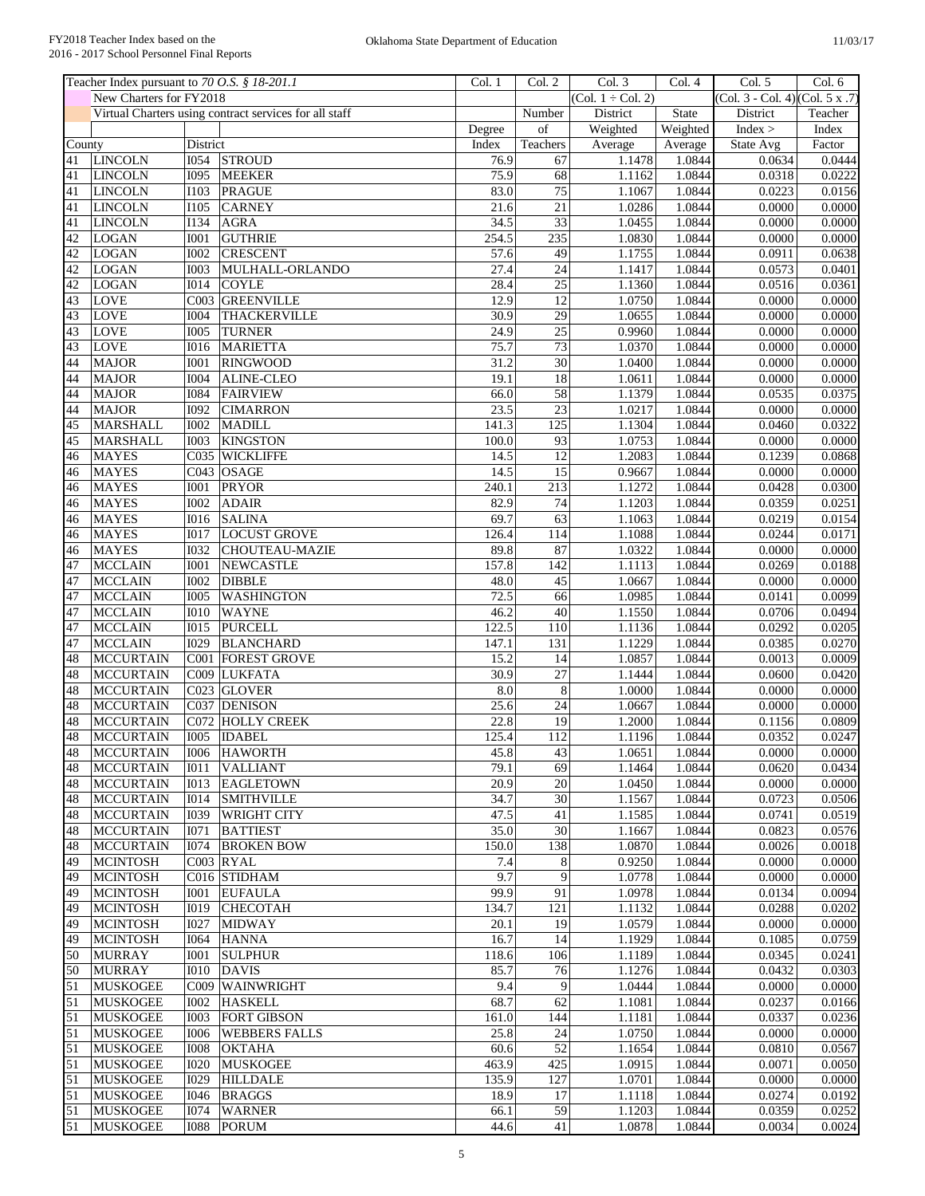|                             | Teacher Index pursuant to 70 O.S. § 18-201.1 |                  |                                                        | Col. 1 | Col. 2           | Col. 3                 | Col. 4   | Col. 5                          | Col. 6  |
|-----------------------------|----------------------------------------------|------------------|--------------------------------------------------------|--------|------------------|------------------------|----------|---------------------------------|---------|
|                             | New Charters for FY2018                      |                  |                                                        |        |                  | $(Col. 1 \div Col. 2)$ |          | (Col. 3 - Col. 4) (Col. 5 x .7) |         |
|                             |                                              |                  | Virtual Charters using contract services for all staff |        | Number           | District               | State    | District                        | Teacher |
|                             |                                              |                  |                                                        | Degree | of               | Weighted               | Weighted | Index >                         | Index   |
| $\overline{\text{Country}}$ |                                              | District         |                                                        | Index  | Teachers         | Average                | Average  | State Avg                       | Factor  |
| 41                          | LINCOLN                                      | <b>I054</b>      | <b>STROUD</b>                                          | 76.9   | 67               | 1.1478                 | 1.0844   | 0.0634                          | 0.0444  |
| 41                          | <b>LINCOLN</b>                               | <b>I095</b>      | <b>MEEKER</b>                                          | 75.9   | 68               | 1.1162                 | 1.0844   | 0.0318                          | 0.0222  |
| 41                          | <b>LINCOLN</b>                               | <b>I103</b>      | PRAGUE                                                 | 83.0   | 75               | 1.1067                 | 1.0844   | 0.0223                          | 0.0156  |
| 41                          | <b>LINCOLN</b>                               | <b>I105</b>      | <b>CARNEY</b>                                          | 21.6   | 21               | 1.0286                 | 1.0844   | 0.0000                          | 0.0000  |
| 41                          | <b>LINCOLN</b>                               | <b>I134</b>      | <b>AGRA</b>                                            | 34.5   | $\overline{33}$  | 1.0455                 | 1.0844   | 0.0000                          | 0.0000  |
| 42                          | <b>LOGAN</b>                                 | <b>I001</b>      | <b>GUTHRIE</b>                                         | 254.5  | 235              | 1.0830                 | 1.0844   | 0.0000                          | 0.0000  |
| 42                          | LOGAN                                        | <b>I002</b>      | <b>CRESCENT</b>                                        | 57.6   | 49               | 1.1755                 | 1.0844   | 0.0911                          | 0.0638  |
| 42                          | <b>LOGAN</b>                                 | <b>I003</b>      | MULHALL-ORLANDO                                        | 27.4   | $\overline{24}$  | 1.1417                 | 1.0844   | 0.0573                          | 0.0401  |
| 42                          | <b>LOGAN</b>                                 | I <sub>014</sub> | <b>COYLE</b>                                           | 28.4   | $\overline{25}$  | 1.1360                 | 1.0844   | 0.0516                          | 0.0361  |
| 43                          | <b>LOVE</b>                                  | C003             | <b>GREENVILLE</b>                                      | 12.9   | 12               | 1.0750                 | 1.0844   | 0.0000                          | 0.0000  |
| 43                          | <b>LOVE</b>                                  | <b>I004</b>      | <b>THACKERVILLE</b>                                    | 30.9   | $\overline{29}$  | 1.0655                 | 1.0844   | 0.0000                          | 0.0000  |
| 43                          | <b>LOVE</b>                                  | <b>I005</b>      | <b>TURNER</b>                                          | 24.9   | $\overline{25}$  | 0.9960                 | 1.0844   | 0.0000                          | 0.0000  |
| 43                          | <b>LOVE</b>                                  | <b>I016</b>      | <b>MARIETTA</b>                                        | 75.7   | $\overline{73}$  | 1.0370                 | 1.0844   | 0.0000                          | 0.0000  |
| 44                          | <b>MAJOR</b>                                 | <b>I001</b>      | <b>RINGWOOD</b>                                        | 31.2   | 30               | 1.0400                 | 1.0844   | 0.0000                          | 0.0000  |
| 44                          | <b>MAJOR</b>                                 | <b>I004</b>      | <b>ALINE-CLEO</b>                                      | 19.1   | $\overline{18}$  | 1.0611                 | 1.0844   | 0.0000                          | 0.0000  |
| 44                          | <b>MAJOR</b>                                 | <b>I</b> 084     | <b>FAIRVIEW</b>                                        | 66.0   | 58               | 1.1379                 | 1.0844   | 0.0535                          | 0.0375  |
| 44                          | <b>MAJOR</b>                                 | <b>I092</b>      | <b>CIMARRON</b>                                        | 23.5   | $\overline{23}$  | 1.0217                 | 1.0844   | 0.0000                          | 0.0000  |
| 45                          | <b>MARSHALL</b>                              | 1002             | <b>MADILL</b>                                          | 141.3  | $\overline{125}$ | 1.1304                 | 1.0844   | 0.0460                          | 0.0322  |
| 45                          | <b>MARSHALL</b>                              | <b>I003</b>      | <b>KINGSTON</b>                                        | 100.0  | 93               | 1.0753                 | 1.0844   | 0.0000                          | 0.0000  |
| 46                          | <b>MAYES</b>                                 | C035             | <b>WICKLIFFE</b>                                       | 14.5   | 12               | 1.2083                 | 1.0844   | 0.1239                          | 0.0868  |
| 46                          | <b>MAYES</b>                                 |                  | $CO43$ OSAGE                                           | 14.5   | 15               | 0.9667                 | 1.0844   | 0.0000                          | 0.0000  |
| 46                          | <b>MAYES</b>                                 | <b>I001</b>      | PRYOR                                                  | 240.1  | 213              | 1.1272                 | 1.0844   | 0.0428                          | 0.0300  |
| 46                          | <b>MAYES</b>                                 | <b>I002</b>      | <b>ADAIR</b>                                           | 82.9   | $\overline{74}$  | 1.1203                 | 1.0844   | 0.0359                          | 0.0251  |
| 46                          | <b>MAYES</b>                                 | <b>I016</b>      | <b>SALINA</b>                                          | 69.7   | 63               | 1.1063                 | 1.0844   | 0.0219                          | 0.0154  |
| 46                          | <b>MAYES</b>                                 | <b>I017</b>      | <b>LOCUST GROVE</b>                                    | 126.4  | 114              | 1.1088                 | 1.0844   | 0.0244                          | 0.0171  |
| 46                          | <b>MAYES</b>                                 | <b>I032</b>      | <b>CHOUTEAU-MAZIE</b>                                  | 89.8   | 87               | 1.0322                 | 1.0844   | 0.0000                          | 0.0000  |
| 47                          | <b>MCCLAIN</b>                               | <b>I001</b>      | <b>NEWCASTLE</b>                                       | 157.8  | 142              | 1.1113                 | 1.0844   | 0.0269                          | 0.0188  |
| 47                          | <b>MCCLAIN</b>                               | 1002             | <b>DIBBLE</b>                                          | 48.0   | 45               | 1.0667                 | 1.0844   | 0.0000                          | 0.0000  |
| 47                          | <b>MCCLAIN</b>                               | 1005             | <b>WASHINGTON</b>                                      | 72.5   | 66               | 1.0985                 | 1.0844   | 0.0141                          | 0.0099  |
| 47                          | <b>MCCLAIN</b>                               | <b>I010</b>      | <b>WAYNE</b>                                           | 46.2   | 40               | 1.1550                 | 1.0844   | 0.0706                          | 0.0494  |
| 47                          | <b>MCCLAIN</b>                               | <b>IO15</b>      | <b>PURCELL</b>                                         | 122.5  | 110              | 1.1136                 | 1.0844   | 0.0292                          | 0.0205  |
| 47                          | <b>MCCLAIN</b>                               | I029             | <b>BLANCHARD</b>                                       | 147.1  | 131              | 1.1229                 | 1.0844   | 0.0385                          | 0.0270  |
| 48                          | <b>MCCURTAIN</b>                             | C001             | <b>FOREST GROVE</b>                                    | 15.2   | 14               | 1.0857                 | 1.0844   | 0.0013                          | 0.0009  |
| 48                          | <b>MCCURTAIN</b>                             |                  | C009 LUKFATA                                           | 30.9   | $\overline{27}$  | 1.1444                 | 1.0844   | 0.0600                          | 0.0420  |
| 48                          | <b>MCCURTAIN</b>                             |                  | C023 GLOVER                                            | 8.0    | $\,8\,$          | 1.0000                 | 1.0844   | 0.0000                          | 0.0000  |
| 48                          | <b>MCCURTAIN</b>                             |                  | C037 DENISON                                           | 25.6   | 24               | 1.0667                 | 1.0844   | 0.0000                          | 0.0000  |
| 48                          | <b>MCCURTAIN</b>                             |                  | C072 HOLLY CREEK                                       | 22.8   | 19               | 1.2000                 | 1.0844   | 0.1156                          | 0.0809  |
| 48                          | <b>MCCURTAIN</b>                             |                  | I005  IDABEL                                           | 125.4  | 112              | 1.1196                 | 1.0844   | 0.0352                          | 0.0247  |
| 48                          | MCCURTAIN                                    |                  | 1006 HAWORTH                                           | 45.8   | 43               | 1.0651                 | 1.0844   | 0.0000                          | 0.0000  |
| 48                          | <b>MCCURTAIN</b>                             | IO11             | <b>VALLIANT</b>                                        | 79.1   | 69               | 1.1464                 | 1.0844   | 0.0620                          | 0.0434  |
| 48                          | <b>MCCURTAIN</b>                             | <b>IO13</b>      | <b>EAGLETOWN</b>                                       | 20.9   | 20               | 1.0450                 | 1.0844   | 0.0000                          | 0.0000  |
| 48                          | <b>MCCURTAIN</b>                             | I014             | <b>SMITHVILLE</b>                                      | 34.7   | $\overline{30}$  | 1.1567                 | 1.0844   | 0.0723                          | 0.0506  |
| 48                          | <b>MCCURTAIN</b>                             | I039             | <b>WRIGHT CITY</b>                                     | 47.5   | 41               | 1.1585                 | 1.0844   | 0.0741                          | 0.0519  |
| 48                          | <b>MCCURTAIN</b>                             | I071             | <b>BATTIEST</b>                                        | 35.0   | 30               | 1.1667                 | 1.0844   | 0.0823                          | 0.0576  |
| 48                          | <b>MCCURTAIN</b>                             | I074             | <b>BROKEN BOW</b>                                      | 150.0  | 138              | 1.0870                 | 1.0844   | 0.0026                          | 0.0018  |
| 49                          | <b>MCINTOSH</b>                              |                  | $CO03$ RYAL                                            | 7.4    | $\,8\,$          | 0.9250                 | 1.0844   | 0.0000                          | 0.0000  |
| 49                          | <b>MCINTOSH</b>                              |                  | C016 STIDHAM                                           | 9.7    | $\overline{9}$   | 1.0778                 | 1.0844   | 0.0000                          | 0.0000  |
| 49                          | <b>MCINTOSH</b>                              | <b>IOO1</b>      | <b>EUFAULA</b>                                         | 99.9   | 91               | 1.0978                 | 1.0844   | 0.0134                          | 0.0094  |
| 49                          | <b>MCINTOSH</b>                              | I019             | <b>CHECOTAH</b>                                        | 134.7  | 121              | 1.1132                 | 1.0844   | 0.0288                          | 0.0202  |
| 49                          | <b>MCINTOSH</b>                              | <b>I027</b>      | <b>MIDWAY</b>                                          | 20.1   | 19               | 1.0579                 | 1.0844   | 0.0000                          | 0.0000  |
| 49                          | <b>MCINTOSH</b>                              | I064             | <b>HANNA</b>                                           | 16.7   | 14               | 1.1929                 | 1.0844   | 0.1085                          | 0.0759  |
| 50                          | <b>MURRAY</b>                                | <b>I001</b>      | <b>SULPHUR</b>                                         | 118.6  | 106              | 1.1189                 | 1.0844   | 0.0345                          | 0.0241  |
| 50                          | <b>MURRAY</b>                                | <b>I010</b>      | <b>DAVIS</b>                                           | 85.7   | 76               | 1.1276                 | 1.0844   | 0.0432                          | 0.0303  |
| 51                          | <b>MUSKOGEE</b>                              |                  | C009 WAINWRIGHT                                        | 9.4    | $\overline{9}$   | 1.0444                 | 1.0844   | 0.0000                          | 0.0000  |
| $\overline{51}$             | <b>MUSKOGEE</b>                              | <b>IOO2</b>      | <b>HASKELL</b>                                         | 68.7   | 62               | 1.1081                 | 1.0844   | 0.0237                          | 0.0166  |
| 51                          | <b>MUSKOGEE</b>                              | <b>IOO3</b>      | <b>FORT GIBSON</b>                                     | 161.0  | 144              | 1.1181                 | 1.0844   | 0.0337                          | 0.0236  |
| 51                          | <b>MUSKOGEE</b>                              | <b>I006</b>      | <b>WEBBERS FALLS</b>                                   | 25.8   | $\overline{24}$  | 1.0750                 | 1.0844   | 0.0000                          | 0.0000  |
| 51                          | <b>MUSKOGEE</b>                              | <b>IOO8</b>      | <b>OKTAHA</b>                                          | 60.6   | 52               | 1.1654                 | 1.0844   | 0.0810                          | 0.0567  |
| 51                          | <b>MUSKOGEE</b>                              | <b>I020</b>      | <b>MUSKOGEE</b>                                        | 463.9  | 425              | 1.0915                 | 1.0844   | 0.0071                          | 0.0050  |
| 51                          | <b>MUSKOGEE</b>                              | I029             | <b>HILLDALE</b>                                        | 135.9  | 127              | 1.0701                 | 1.0844   | 0.0000                          | 0.0000  |
| 51                          | <b>MUSKOGEE</b>                              | I046             | <b>BRAGGS</b>                                          | 18.9   | 17               | 1.1118                 | 1.0844   | 0.0274                          | 0.0192  |
| 51                          | <b>MUSKOGEE</b>                              | I074             | <b>WARNER</b>                                          | 66.1   | 59               | 1.1203                 | 1.0844   | 0.0359                          | 0.0252  |
| 51                          | <b>MUSKOGEE</b>                              |                  | 1088 PORUM                                             | 44.6   | 41               | 1.0878                 | 1.0844   | 0.0034                          | 0.0024  |
|                             |                                              |                  |                                                        |        |                  |                        |          |                                 |         |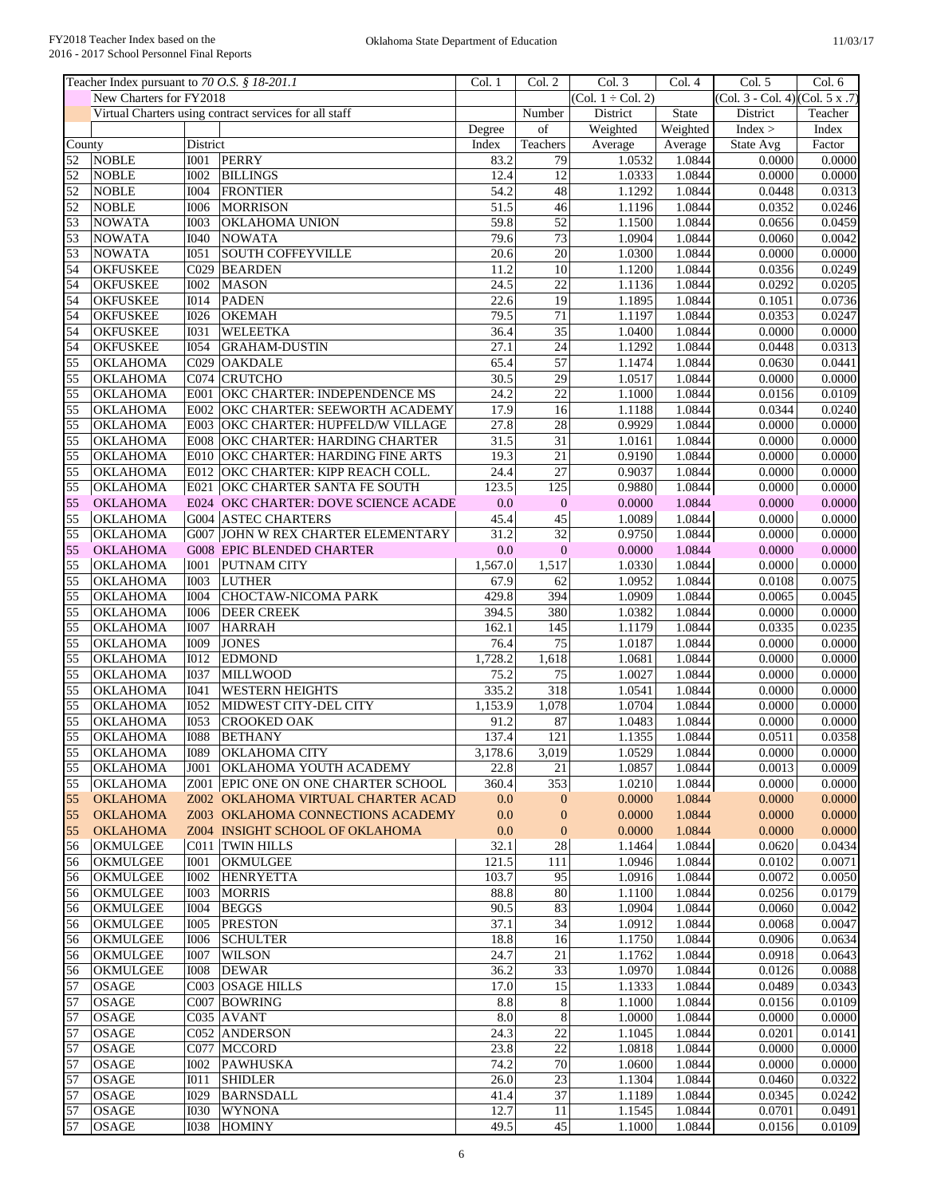|                 | Teacher Index pursuant to 70 O.S. § 18-201.1 |             |                                                        | Col. 1  | Col. 2           | Col. 3                 | Col. 4   | Col. 5                          | Col. 6           |
|-----------------|----------------------------------------------|-------------|--------------------------------------------------------|---------|------------------|------------------------|----------|---------------------------------|------------------|
|                 | New Charters for FY2018                      |             |                                                        |         |                  | $(Col. 1 \div Col. 2)$ |          | (Col. 3 - Col. 4) (Col. 5 x .7) |                  |
|                 |                                              |             | Virtual Charters using contract services for all staff |         | Number           | District               | State    | District                        | Teacher          |
|                 |                                              |             |                                                        | Degree  | of               | Weighted               | Weighted | Index >                         | Index            |
| County          |                                              | District    |                                                        | Index   | Teachers         | Average                | Average  | State Avg                       | Factor           |
| 52              | <b>NOBLE</b>                                 | <b>I001</b> | PERRY                                                  | 83.2    | 79               | 1.0532                 | 1.0844   | 0.0000                          | 0.0000           |
| 52              | <b>NOBLE</b>                                 | <b>I002</b> | <b>BILLINGS</b>                                        | 12.4    | 12               | 1.0333                 | 1.0844   | 0.0000                          | 0.0000           |
| 52              | <b>NOBLE</b>                                 | <b>I004</b> | <b>FRONTIER</b>                                        | 54.2    | $\overline{48}$  | 1.1292                 | 1.0844   | 0.0448                          | 0.0313           |
| 52              | <b>NOBLE</b>                                 | <b>I006</b> | <b>MORRISON</b>                                        | 51.5    | 46               | 1.1196                 | 1.0844   | 0.0352                          | 0.0246           |
| 53              | <b>NOWATA</b>                                | <b>I003</b> | <b>OKLAHOMA UNION</b>                                  | 59.8    | 52               | 1.1500                 | 1.0844   | 0.0656                          | 0.0459           |
| $\overline{53}$ | <b>NOWATA</b>                                | <b>I040</b> | <b>NOWATA</b>                                          | 79.6    | 73               | 1.0904                 | 1.0844   | 0.0060                          | 0.0042           |
| 53              | <b>NOWATA</b>                                | <b>IO51</b> | <b>SOUTH COFFEYVILLE</b>                               | 20.6    | 20               | 1.0300                 | 1.0844   | 0.0000                          | 0.0000           |
| $\overline{54}$ | <b>OKFUSKEE</b>                              | C029        | <b>BEARDEN</b>                                         | 11.2    | 10               | 1.1200                 | 1.0844   | 0.0356                          | 0.0249           |
| 54              | <b>OKFUSKEE</b>                              | <b>I002</b> | <b>MASON</b>                                           | 24.5    | 22               | 1.1136                 | 1.0844   | 0.0292                          | 0.0205           |
| 54              | <b>OKFUSKEE</b>                              | <b>I014</b> | <b>PADEN</b>                                           | 22.6    | 19               | 1.1895                 | 1.0844   | 0.1051                          | 0.0736           |
| 54              | <b>OKFUSKEE</b>                              | <b>I026</b> | <b>OKEMAH</b>                                          | 79.5    | 71               | 1.1197                 | 1.0844   | 0.0353                          | 0.0247           |
| $\overline{54}$ | <b>OKFUSKEE</b>                              | <b>I031</b> | <b>WELEETKA</b>                                        | 36.4    | 35               | 1.0400                 | 1.0844   | 0.0000                          | 0.0000           |
| 54              | <b>OKFUSKEE</b>                              | <b>I054</b> | <b>GRAHAM-DUSTIN</b>                                   | 27.1    | 24               | 1.1292                 | 1.0844   | 0.0448                          | 0.0313           |
| $\overline{55}$ | OKLAHOMA                                     | C029        | <b>OAKDALE</b>                                         | 65.4    | 57               | 1.1474                 | 1.0844   | 0.0630                          | 0.0441           |
| $\overline{55}$ | <b>OKLAHOMA</b>                              | C074        | <b>CRUTCHO</b>                                         | 30.5    | 29               | 1.0517                 | 1.0844   | 0.0000                          | 0.0000           |
| $\overline{55}$ |                                              |             |                                                        |         | $\overline{22}$  | 1.1000                 | 1.0844   |                                 |                  |
|                 | <b>OKLAHOMA</b>                              | E001        | OKC CHARTER: INDEPENDENCE MS                           | 24.2    |                  |                        |          | 0.0156                          | 0.0109           |
| $\overline{55}$ | OKLAHOMA                                     | E002        | <b>OKC CHARTER: SEEWORTH ACADEMY</b>                   | 17.9    | 16               | 1.1188                 | 1.0844   | 0.0344                          | 0.0240           |
| 55              | <b>OKLAHOMA</b>                              | E003        | OKC CHARTER: HUPFELD/W VILLAGE                         | 27.8    | 28               | 0.9929                 | 1.0844   | 0.0000                          | 0.0000           |
| $\overline{55}$ | <b>OKLAHOMA</b>                              | <b>E008</b> | OKC CHARTER: HARDING CHARTER                           | 31.5    | $\overline{31}$  | 1.0161                 | 1.0844   | 0.0000                          | 0.0000           |
| 55              | <b>OKLAHOMA</b>                              |             | E010 OKC CHARTER: HARDING FINE ARTS                    | 19.3    | 21               | 0.9190                 | 1.0844   | 0.0000                          | 0.0000           |
| 55              | OKLAHOMA                                     |             | E012 OKC CHARTER: KIPP REACH COLL.                     | 24.4    | $\overline{27}$  | 0.9037                 | 1.0844   | 0.0000                          | 0.0000           |
| 55              | <b>OKLAHOMA</b>                              |             | E021 OKC CHARTER SANTA FE SOUTH                        | 123.5   | 125              | 0.9880                 | 1.0844   | 0.0000                          | 0.0000           |
| 55              | <b>OKLAHOMA</b>                              |             | E024 OKC CHARTER: DOVE SCIENCE ACADE                   | 0.0     | $\overline{0}$   | 0.0000                 | 1.0844   | 0.0000                          | 0.0000           |
| 55              | <b>OKLAHOMA</b>                              |             | <b>G004 ASTEC CHARTERS</b>                             | 45.4    | 45               | 1.0089                 | 1.0844   | 0.0000                          | 0.0000           |
| 55              | <b>OKLAHOMA</b>                              |             | G007 JOHN W REX CHARTER ELEMENTARY                     | 31.2    | $\overline{32}$  | 0.9750                 | 1.0844   | 0.0000                          | 0.0000           |
| 55              | <b>OKLAHOMA</b>                              |             | <b>G008 EPIC BLENDED CHARTER</b>                       | 0.0     | $\mathbf{0}$     | 0.0000                 | 1.0844   | 0.0000                          | 0.0000           |
| 55              | <b>OKLAHOMA</b>                              | <b>I001</b> | PUTNAM CITY                                            | 1,567.0 | 1,517            | 1.0330                 | 1.0844   | 0.0000                          | 0.0000           |
| 55              | OKLAHOMA                                     | <b>I003</b> | <b>LUTHER</b>                                          | 67.9    | 62               | 1.0952                 | 1.0844   | 0.0108                          | 0.0075           |
| 55              | <b>OKLAHOMA</b>                              | <b>I004</b> | CHOCTAW-NICOMA PARK                                    | 429.8   | 394              | 1.0909                 | 1.0844   | 0.0065                          | 0.0045           |
| 55              | OKLAHOMA                                     | <b>I006</b> | <b>DEER CREEK</b>                                      | 394.5   | 380              | 1.0382                 | 1.0844   | 0.0000                          | 0.0000           |
| $\overline{55}$ | OKLAHOMA                                     | <b>I007</b> | <b>HARRAH</b>                                          | 162.1   | 145              | 1.1179                 | 1.0844   | 0.0335                          | 0.0235           |
| $\overline{55}$ | <b>OKLAHOMA</b>                              | <b>I009</b> | <b>JONES</b>                                           | 76.4    | $\overline{75}$  | 1.0187                 | 1.0844   | 0.0000                          | 0.0000           |
| $\overline{55}$ | <b>OKLAHOMA</b>                              | <b>I012</b> | <b>EDMOND</b>                                          | 1,728.2 | 1,618            | 1.0681                 | 1.0844   | 0.0000                          | 0.0000           |
| 55              | <b>OKLAHOMA</b>                              | 1037        | <b>MILLWOOD</b>                                        | 75.2    | 75               | 1.0027                 | 1.0844   | 0.0000                          | 0.0000           |
| $\overline{55}$ | OKLAHOMA                                     | I041        | <b>WESTERN HEIGHTS</b>                                 | 335.2   | 318              | 1.0541                 | 1.0844   | 0.0000                          | 0.0000           |
| $\overline{55}$ | <b>OKLAHOMA</b>                              | 1052        | MIDWEST CITY-DEL CITY                                  | 1,153.9 | 1,078            | 1.0704                 | 1.0844   | 0.0000                          | 0.0000           |
| $\overline{55}$ | <b>OKLAHOMA</b>                              | <b>I053</b> | <b>CROOKED OAK</b>                                     | 91.2    | 87               | 1.0483                 | 1.0844   | 0.0000                          | 0.0000           |
| 55              | <b>OKLAHOMA</b>                              | 1088        | <b>BETHANY</b>                                         | 137.4   | 121              | 1.1355                 | 1.0844   | 0.0511                          | 0.0358           |
| 55              | <b>OKLAHOMA</b>                              |             | 1089 OKLAHOMA CITY                                     | 3,178.6 | 3,019            | 1.0529                 | 1.0844   | 0.0000                          | 0.0000           |
| 55              | <b>OKLAHOMA</b>                              | J001        | <b>OKLAHOMA YOUTH ACADEMY</b>                          | 22.8    | 21               | 1.0857                 | 1.0844   | 0.0013                          | 0.0009           |
| 55              | <b>OKLAHOMA</b>                              |             | Z001 EPIC ONE ON ONE CHARTER SCHOOL                    | 360.4   | 353              | 1.0210                 | 1.0844   | 0.0000                          | 0.0000           |
| 55              | <b>OKLAHOMA</b>                              |             | Z002 OKLAHOMA VIRTUAL CHARTER ACAD                     | 0.0     | $\mathbf{0}$     | 0.0000                 | 1.0844   | 0.0000                          | 0.0000           |
| 55              | <b>OKLAHOMA</b>                              |             | Z003 OKLAHOMA CONNECTIONS ACADEMY                      | 0.0     | $\boldsymbol{0}$ | 0.0000                 | 1.0844   | 0.0000                          | 0.0000           |
| 55              | <b>OKLAHOMA</b>                              |             | Z004 INSIGHT SCHOOL OF OKLAHOMA                        | 0.0     | $\mathbf{0}$     | 0.0000                 | 1.0844   | 0.0000                          | 0.0000           |
|                 |                                              |             |                                                        |         | $28\,$           |                        | 1.0844   | 0.0620                          |                  |
| 56              | <b>OKMULGEE</b>                              |             | C011 TWIN HILLS                                        | 32.1    | 111              | 1.1464<br>1.0946       | 1.0844   | 0.0102                          | 0.0434<br>0.0071 |
| 56              | <b>OKMULGEE</b>                              | <b>IOO1</b> | <b>OKMULGEE</b>                                        | 121.5   |                  |                        |          |                                 |                  |
| 56              | <b>OKMULGEE</b>                              | <b>I002</b> | <b>HENRYETTA</b>                                       | 103.7   | 95               | 1.0916                 | 1.0844   | 0.0072                          | 0.0050           |
| 56              | <b>OKMULGEE</b>                              | <b>I003</b> | <b>MORRIS</b>                                          | 88.8    | 80               | 1.1100                 | 1.0844   | 0.0256                          | 0.0179           |
| 56              | <b>OKMULGEE</b>                              | <b>I004</b> | <b>BEGGS</b>                                           | 90.5    | 83               | 1.0904                 | 1.0844   | 0.0060                          | 0.0042           |
| 56              | <b>OKMULGEE</b>                              | <b>I005</b> | <b>PRESTON</b>                                         | 37.1    | 34               | 1.0912                 | 1.0844   | 0.0068                          | 0.0047           |
| 56              | <b>OKMULGEE</b>                              | <b>I006</b> | <b>SCHULTER</b>                                        | 18.8    | 16               | 1.1750                 | 1.0844   | 0.0906                          | 0.0634           |
| 56              | <b>OKMULGEE</b>                              | <b>I007</b> | <b>WILSON</b>                                          | 24.7    | 21               | 1.1762                 | 1.0844   | 0.0918                          | 0.0643           |
| 56              | <b>OKMULGEE</b>                              | 1008        | <b>DEWAR</b>                                           | 36.2    | $\overline{33}$  | 1.0970                 | 1.0844   | 0.0126                          | 0.0088           |
| 57              | <b>OSAGE</b>                                 |             | C003 OSAGE HILLS                                       | 17.0    | $\overline{15}$  | 1.1333                 | 1.0844   | 0.0489                          | 0.0343           |
| 57              | <b>OSAGE</b>                                 |             | C007 BOWRING                                           | 8.8     | $\,8\,$          | 1.1000                 | 1.0844   | 0.0156                          | 0.0109           |
| 57              | <b>OSAGE</b>                                 |             | C035 AVANT                                             | 8.0     | $\sqrt{8}$       | 1.0000                 | 1.0844   | 0.0000                          | 0.0000           |
| 57              | <b>OSAGE</b>                                 |             | <b>C052 ANDERSON</b>                                   | 24.3    | $\overline{22}$  | 1.1045                 | 1.0844   | 0.0201                          | 0.0141           |
| 57              | <b>OSAGE</b>                                 |             | C077 MCCORD                                            | 23.8    | 22               | 1.0818                 | 1.0844   | 0.0000                          | 0.0000           |
| 57              | <b>OSAGE</b>                                 | I002        | <b>PAWHUSKA</b>                                        | 74.2    | 70               | 1.0600                 | 1.0844   | 0.0000                          | 0.0000           |
| 57              | <b>OSAGE</b>                                 | <b>IO11</b> | <b>SHIDLER</b>                                         | 26.0    | 23               | 1.1304                 | 1.0844   | 0.0460                          | 0.0322           |
| 57              | <b>OSAGE</b>                                 | I029        | <b>BARNSDALL</b>                                       | 41.4    | $\overline{37}$  | 1.1189                 | 1.0844   | 0.0345                          | 0.0242           |
| 57              | <b>OSAGE</b>                                 | 1030        | <b>WYNONA</b>                                          | 12.7    | 11               | 1.1545                 | 1.0844   | 0.0701                          | 0.0491           |
| 57              | <b>OSAGE</b>                                 | 1038        | <b>HOMINY</b>                                          | 49.5    | 45               | 1.1000                 | 1.0844   | 0.0156                          | 0.0109           |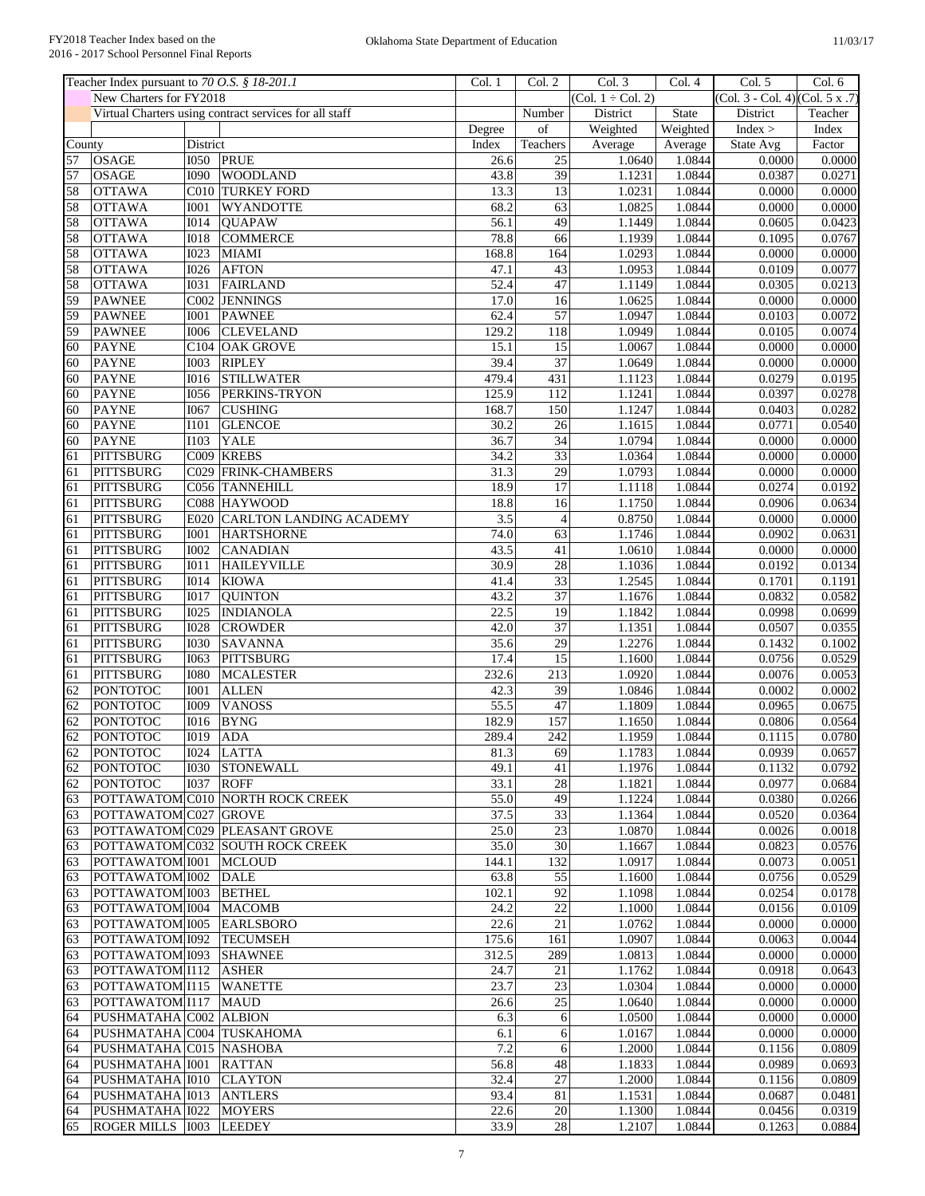|                 | Teacher Index pursuant to 70 O.S. § 18-201.1 |              |                                                        | Col. 1 | Col. 2           | Col. 3                 | Col. 4   | Col. 5                          | Col. 6  |
|-----------------|----------------------------------------------|--------------|--------------------------------------------------------|--------|------------------|------------------------|----------|---------------------------------|---------|
|                 | New Charters for FY2018                      |              |                                                        |        |                  | $(Col. 1 \div Col. 2)$ |          | (Col. 3 - Col. 4) (Col. 5 x .7) |         |
|                 |                                              |              | Virtual Charters using contract services for all staff |        | Number           | District               | State    | District                        | Teacher |
|                 |                                              |              |                                                        | Degree | $_{\mathrm{of}}$ | Weighted               | Weighted | Index >                         | Index   |
| County          |                                              | District     |                                                        | Index  | Teachers         | Average                | Average  | State Avg                       | Factor  |
| 57              | <b>OSAGE</b>                                 |              | I050 PRUE                                              | 26.6   | $\overline{25}$  | 1.0640                 | 1.0844   | 0.0000                          | 0.0000  |
| 57              | <b>OSAGE</b>                                 | 1090         | <b>WOODLAND</b>                                        | 43.8   | 39               | 1.1231                 | 1.0844   | 0.0387                          | 0.0271  |
| 58              | <b>OTTAWA</b>                                |              | C010 TURKEY FORD                                       | 13.3   | $\overline{13}$  | 1.0231                 | 1.0844   | 0.0000                          | 0.0000  |
| 58              | <b>OTTAWA</b>                                | 1001         | WYANDOTTE                                              | 68.2   | 63               | 1.0825                 | 1.0844   | 0.0000                          | 0.0000  |
| 58              | <b>OTTAWA</b>                                | <b>I014</b>  | <b>OUAPAW</b>                                          | 56.1   | 49               | 1.1449                 | 1.0844   | 0.0605                          | 0.0423  |
| 58              | <b>OTTAWA</b>                                | <b>IO18</b>  | <b>COMMERCE</b>                                        | 78.8   | 66               | 1.1939                 | 1.0844   | 0.1095                          | 0.0767  |
| 58              | <b>OTTAWA</b>                                | <b>I023</b>  | <b>MIAMI</b>                                           | 168.8  | 164              | 1.0293                 | 1.0844   | 0.0000                          | 0.0000  |
| 58              | <b>OTTAWA</b>                                | 1026         | <b>AFTON</b>                                           | 47.1   | 43               | 1.0953                 | 1.0844   | 0.0109                          | 0.0077  |
| 58              | <b>OTTAWA</b>                                | <b>I031</b>  | <b>FAIRLAND</b>                                        | 52.4   | 47               | 1.1149                 | 1.0844   | 0.0305                          | 0.0213  |
| 59              | <b>PAWNEE</b>                                |              | C002 JENNINGS                                          | 17.0   | 16               | 1.0625                 | 1.0844   | 0.0000                          | 0.0000  |
| 59              | <b>PAWNEE</b>                                | <b>IOO1</b>  | <b>PAWNEE</b>                                          | 62.4   | $\overline{57}$  | 1.0947                 | 1.0844   | 0.0103                          | 0.0072  |
| 59              | <b>PAWNEE</b>                                | 1006         | <b>CLEVELAND</b>                                       | 129.2  | 118              | 1.0949                 | 1.0844   | 0.0105                          | 0.0074  |
| 60              | <b>PAYNE</b>                                 |              | C104 OAK GROVE                                         | 15.1   | 15               | 1.0067                 | 1.0844   | 0.0000                          | 0.0000  |
| 60              | <b>PAYNE</b>                                 | <b>I003</b>  | <b>RIPLEY</b>                                          | 39.4   | 37               | 1.0649                 | 1.0844   | 0.0000                          | 0.0000  |
| 60              | <b>PAYNE</b>                                 | <b>I016</b>  | <b>STILLWATER</b>                                      | 479.4  | 431              | 1.1123                 | 1.0844   | 0.0279                          | 0.0195  |
| 60              |                                              | <b>I056</b>  |                                                        | 125.9  | 112              |                        | 1.0844   |                                 |         |
|                 | <b>PAYNE</b>                                 |              | PERKINS-TRYON                                          |        |                  | 1.1241                 |          | 0.0397                          | 0.0278  |
| 60              | <b>PAYNE</b>                                 | <b>I067</b>  | <b>CUSHING</b>                                         | 168.7  | 150              | 1.1247                 | 1.0844   | 0.0403                          | 0.0282  |
| 60              | <b>PAYNE</b>                                 | <b>I101</b>  | <b>GLENCOE</b>                                         | 30.2   | 26               | 1.1615                 | 1.0844   | 0.0771                          | 0.0540  |
| 60              | <b>PAYNE</b>                                 | <b>I103</b>  | <b>YALE</b>                                            | 36.7   | $\overline{34}$  | 1.0794                 | 1.0844   | 0.0000                          | 0.0000  |
| 61              | <b>PITTSBURG</b>                             | C009         | <b>KREBS</b>                                           | 34.2   | 33               | 1.0364                 | 1.0844   | 0.0000                          | 0.0000  |
| 61              | <b>PITTSBURG</b>                             | C029         | <b>FRINK-CHAMBERS</b>                                  | 31.3   | 29               | 1.0793                 | 1.0844   | 0.0000                          | 0.0000  |
| 61              | <b>PITTSBURG</b>                             |              | C056 TANNEHILL                                         | 18.9   | 17               | 1.1118                 | 1.0844   | 0.0274                          | 0.0192  |
| 61              | <b>PITTSBURG</b>                             |              | C088 HAYWOOD                                           | 18.8   | 16               | 1.1750                 | 1.0844   | 0.0906                          | 0.0634  |
| 61              | <b>PITTSBURG</b>                             | E020         | <b>CARLTON LANDING ACADEMY</b>                         | 3.5    | $\overline{4}$   | 0.8750                 | 1.0844   | 0.0000                          | 0.0000  |
| 61              | <b>PITTSBURG</b>                             | <b>I001</b>  | <b>HARTSHORNE</b>                                      | 74.0   | 63               | 1.1746                 | 1.0844   | 0.0902                          | 0.0631  |
| 61              | <b>PITTSBURG</b>                             | <b>I002</b>  | <b>CANADIAN</b>                                        | 43.5   | 41               | 1.0610                 | 1.0844   | 0.0000                          | 0.0000  |
| 61              | <b>PITTSBURG</b>                             | I011         | <b>HAILEYVILLE</b>                                     | 30.9   | 28               | 1.1036                 | 1.0844   | 0.0192                          | 0.0134  |
| 61              | <b>PITTSBURG</b>                             | <b>I014</b>  | <b>KIOWA</b>                                           | 41.4   | $\overline{33}$  | 1.2545                 | 1.0844   | 0.1701                          | 0.1191  |
| 61              | <b>PITTSBURG</b>                             | <b>I017</b>  | <b>QUINTON</b>                                         | 43.2   | $\overline{37}$  | 1.1676                 | 1.0844   | 0.0832                          | 0.0582  |
| 61              | <b>PITTSBURG</b>                             | <b>I025</b>  | <b>INDIANOLA</b>                                       | 22.5   | 19               | 1.1842                 | 1.0844   | 0.0998                          | 0.0699  |
| 61              | <b>PITTSBURG</b>                             | <b>I028</b>  | <b>CROWDER</b>                                         | 42.0   | $\overline{37}$  | 1.1351                 | 1.0844   | 0.0507                          | 0.0355  |
| 61              | <b>PITTSBURG</b>                             | 1030         | <b>SAVANNA</b>                                         | 35.6   | 29               | 1.2276                 | 1.0844   | 0.1432                          | 0.1002  |
|                 | <b>PITTSBURG</b>                             | <b>I063</b>  | <b>PITTSBURG</b>                                       | 17.4   | 15               | 1.1600                 | 1.0844   | 0.0756                          | 0.0529  |
| 61              |                                              |              |                                                        |        |                  |                        |          |                                 |         |
| 61              | <b>PITTSBURG</b>                             | 1080         | <b>MCALESTER</b>                                       | 232.6  | 213              | 1.0920                 | 1.0844   | 0.0076                          | 0.0053  |
| 62              | <b>PONTOTOC</b>                              | I001         | <b>ALLEN</b>                                           | 42.3   | 39               | 1.0846                 | 1.0844   | 0.0002                          | 0.0002  |
| $\overline{62}$ | <b>PONTOTOC</b>                              | <b>I009</b>  | <b>VANOSS</b>                                          | 55.5   | 47               | 1.1809                 | 1.0844   | 0.0965                          | 0.0675  |
| 62              | <b>PONTOTOC</b>                              | <b>I016</b>  | <b>BYNG</b>                                            | 182.9  | 157              | 1.1650                 | 1.0844   | 0.0806                          | 0.0564  |
| 62              | <b>PONTOTOC</b>                              | $I019$ $ADA$ |                                                        | 289.4  | 242              | 1.1959                 | 1.0844   | 0.1115                          | 0.0780  |
| 62              | <b>PONTOTOC</b>                              |              | 1024 LATTA                                             | 81.3   | 69               | 1.1783                 | 1.0844   | 0.0939                          | 0.0657  |
| 62              | <b>PONTOTOC</b>                              |              | 1030 STONEWALL                                         | 49.1   | 41               | 1.1976                 | 1.0844   | 0.1132                          | 0.0792  |
| 62              | <b>PONTOTOC</b>                              | <b>I037</b>  | <b>ROFF</b>                                            | 33.1   | 28               | 1.1821                 | 1.0844   | 0.0977                          | 0.0684  |
| 63              |                                              |              | POTTAWATOM C010 NORTH ROCK CREEK                       | 55.0   | 49               | 1.1224                 | 1.0844   | 0.0380                          | 0.0266  |
| 63              | POTTAWATOM C027 GROVE                        |              |                                                        | 37.5   | $\overline{33}$  | 1.1364                 | 1.0844   | 0.0520                          | 0.0364  |
| 63              |                                              |              | POTTAWATOM C029 PLEASANT GROVE                         | 25.0   | 23               | 1.0870                 | 1.0844   | 0.0026                          | 0.0018  |
| 63              |                                              |              | POTTAWATOM C032 SOUTH ROCK CREEK                       | 35.0   | 30               | 1.1667                 | 1.0844   | 0.0823                          | 0.0576  |
| 63              | POTTAWATOM 1001                              |              | <b>MCLOUD</b>                                          | 144.1  | 132              | 1.0917                 | 1.0844   | 0.0073                          | 0.0051  |
| 63              | POTTAWATOM 1002                              |              | <b>DALE</b>                                            | 63.8   | 55               | 1.1600                 | 1.0844   | 0.0756                          | 0.0529  |
| 63              | POTTAWATOM 1003                              |              | <b>BETHEL</b>                                          | 102.1  | 92               | 1.1098                 | 1.0844   | 0.0254                          | 0.0178  |
| 63              | POTTAWATOM 1004                              |              | <b>MACOMB</b>                                          | 24.2   | 22               | 1.1000                 | 1.0844   | 0.0156                          | 0.0109  |
| 63              | POTTAWATOM 1005                              |              | <b>EARLSBORO</b>                                       | 22.6   | 21               | 1.0762                 | 1.0844   | 0.0000                          | 0.0000  |
|                 | POTTAWATOM 1092                              |              | <b>TECUMSEH</b>                                        |        | 161              | 1.0907                 | 1.0844   | 0.0063                          | 0.0044  |
| 63              |                                              |              |                                                        | 175.6  |                  |                        |          |                                 |         |
| 63              | POTTAWATOM 1093                              |              | <b>SHAWNEE</b>                                         | 312.5  | 289              | 1.0813                 | 1.0844   | 0.0000                          | 0.0000  |
| 63              | POTTAWATOM I112                              |              | <b>ASHER</b>                                           | 24.7   | 21               | 1.1762                 | 1.0844   | 0.0918                          | 0.0643  |
| 63              | POTTAWATOM I115 WANETTE                      |              |                                                        | 23.7   | 23               | 1.0304                 | 1.0844   | 0.0000                          | 0.0000  |
| 63              | POTTAWATOM I117                              |              | <b>MAUD</b>                                            | 26.6   | 25               | 1.0640                 | 1.0844   | 0.0000                          | 0.0000  |
| 64              | PUSHMATAHA C002 ALBION                       |              |                                                        | 6.3    | 6                | 1.0500                 | 1.0844   | 0.0000                          | 0.0000  |
| 64              | PUSHMATAHA C004 TUSKAHOMA                    |              |                                                        | 6.1    | $\overline{6}$   | 1.0167                 | 1.0844   | 0.0000                          | 0.0000  |
| 64              | PUSHMATAHA C015 NASHOBA                      |              |                                                        | 7.2    | $\sqrt{6}$       | 1.2000                 | 1.0844   | 0.1156                          | 0.0809  |
| 64              | PUSHMATAHA 1001                              |              | <b>RATTAN</b>                                          | 56.8   | 48               | 1.1833                 | 1.0844   | 0.0989                          | 0.0693  |
| 64              | PUSHMATAHA 1010                              |              | <b>CLAYTON</b>                                         | 32.4   | $27\,$           | 1.2000                 | 1.0844   | 0.1156                          | 0.0809  |
| 64              | PUSHMATAHA 1013 ANTLERS                      |              |                                                        | 93.4   | 81               | 1.1531                 | 1.0844   | 0.0687                          | 0.0481  |
| 64              | PUSHMATAHA 1022                              |              | <b>MOYERS</b>                                          | 22.6   | $20\,$           | 1.1300                 | 1.0844   | 0.0456                          | 0.0319  |
| 65              | ROGER MILLS 1003 LEEDEY                      |              |                                                        | 33.9   | 28               | 1.2107                 | 1.0844   | 0.1263                          | 0.0884  |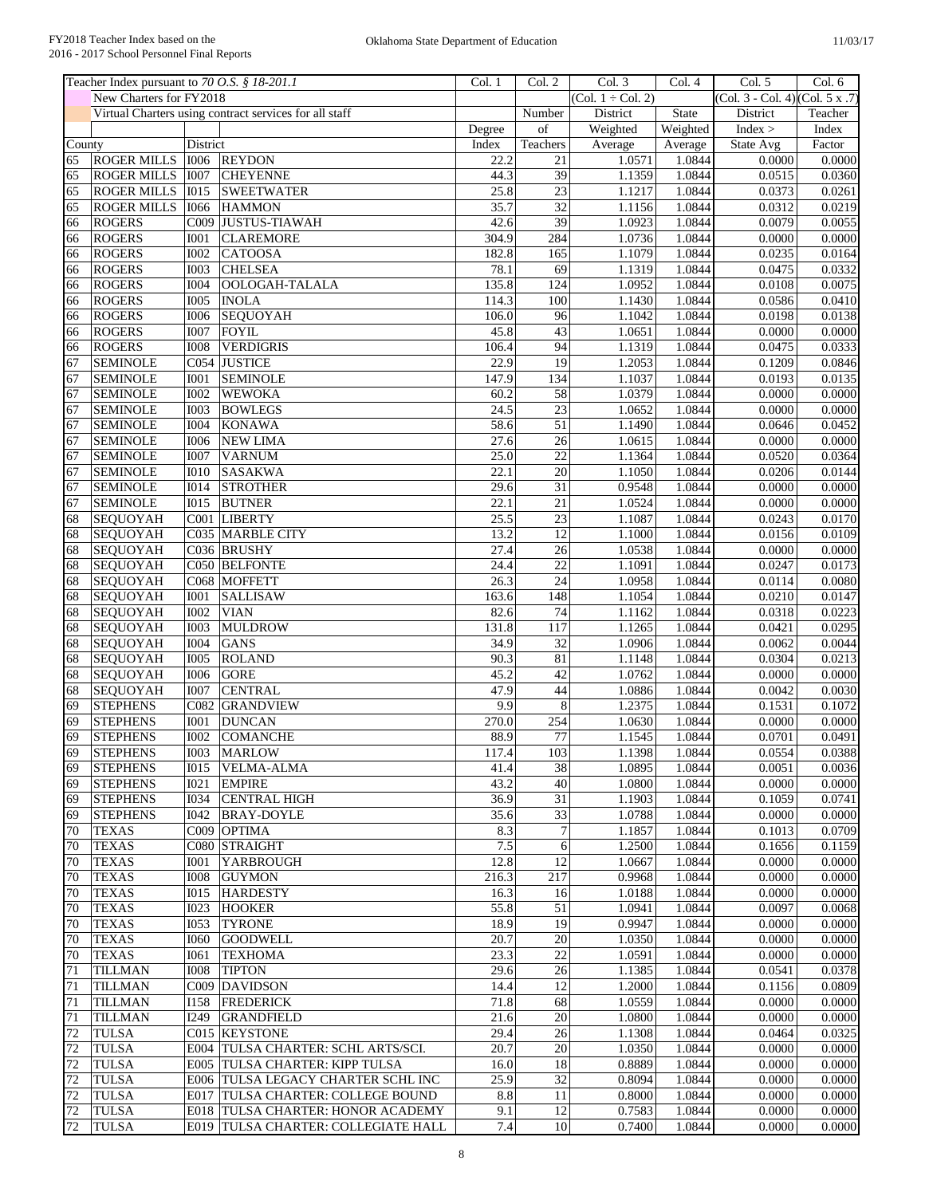|        | Teacher Index pursuant to 70 O.S. § 18-201.1 |                  |                                                        | Col. 1 | Col. 2           | Col. 3                 | Col. 4   | Col. 5                                      | Col. 6  |
|--------|----------------------------------------------|------------------|--------------------------------------------------------|--------|------------------|------------------------|----------|---------------------------------------------|---------|
|        | New Charters for FY2018                      |                  |                                                        |        |                  | $(Col. 1 \div Col. 2)$ |          | $\overline{(Col. 3 - Col. 4)(Col. 5 x .7)}$ |         |
|        |                                              |                  | Virtual Charters using contract services for all staff |        | Number           | District               | State    | District                                    | Teacher |
|        |                                              |                  |                                                        | Degree | $_{\mathrm{of}}$ | Weighted               | Weighted | Index >                                     | Index   |
| County |                                              | District         |                                                        | Index  | Teachers         | Average                | Average  | State Avg                                   | Factor  |
| 65     | <b>ROGER MILLS</b>                           | <b>I006</b>      | <b>REYDON</b>                                          | 22.2   | $\overline{21}$  | 1.0571                 | 1.0844   | 0.0000                                      | 0.0000  |
| 65     | <b>ROGER MILLS</b>                           | <b>I007</b>      | <b>CHEYENNE</b>                                        | 44.3   | 39               | 1.1359                 | 1.0844   | 0.0515                                      | 0.0360  |
| 65     | <b>ROGER MILLS</b>                           | <b>I015</b>      | <b>SWEETWATER</b>                                      | 25.8   | $\overline{23}$  | 1.1217                 | 1.0844   | 0.0373                                      | 0.0261  |
| 65     | <b>ROGER MILLS</b>                           | <b>I066</b>      | <b>HAMMON</b>                                          | 35.7   | $\overline{32}$  | 1.1156                 | 1.0844   | 0.0312                                      | 0.0219  |
| 66     | <b>ROGERS</b>                                | C009             | <b>JUSTUS-TIAWAH</b>                                   | 42.6   | 39               | 1.0923                 | 1.0844   | 0.0079                                      | 0.0055  |
| 66     | <b>ROGERS</b>                                | <b>I001</b>      | <b>CLAREMORE</b>                                       | 304.9  | 284              | 1.0736                 | 1.0844   | 0.0000                                      | 0.0000  |
| 66     | <b>ROGERS</b>                                | <b>I002</b>      | <b>CATOOSA</b>                                         | 182.8  | 165              | 1.1079                 | 1.0844   | 0.0235                                      | 0.0164  |
| 66     | <b>ROGERS</b>                                | <b>I003</b>      | <b>CHELSEA</b>                                         | 78.1   | 69               | 1.1319                 | 1.0844   | 0.0475                                      | 0.0332  |
| 66     | <b>ROGERS</b>                                | <b>I004</b>      | OOLOGAH-TALALA                                         | 135.8  | 124              | 1.0952                 | 1.0844   | 0.0108                                      | 0.0075  |
| 66     | <b>ROGERS</b>                                | <b>I005</b>      | <b>INOLA</b>                                           | 114.3  | 100              | 1.1430                 | 1.0844   | 0.0586                                      | 0.0410  |
| 66     | <b>ROGERS</b>                                | <b>I006</b>      | <b>SEQUOYAH</b>                                        | 106.0  | 96               | 1.1042                 | 1.0844   | 0.0198                                      | 0.0138  |
| 66     | <b>ROGERS</b>                                | <b>I007</b>      | <b>FOYIL</b>                                           | 45.8   | 43               | 1.0651                 | 1.0844   | 0.0000                                      | 0.0000  |
| 66     | <b>ROGERS</b>                                | 1008             | <b>VERDIGRIS</b>                                       | 106.4  | 94               | 1.1319                 | 1.0844   | 0.0475                                      | 0.0333  |
| 67     | <b>SEMINOLE</b>                              |                  | C054 JUSTICE                                           | 22.9   | 19               | 1.2053                 | 1.0844   | 0.1209                                      | 0.0846  |
| 67     | <b>SEMINOLE</b>                              | <b>I001</b>      | <b>SEMINOLE</b>                                        | 147.9  | 134              | 1.1037                 | 1.0844   | 0.0193                                      | 0.0135  |
| 67     | <b>SEMINOLE</b>                              | <b>I002</b>      | <b>WEWOKA</b>                                          | 60.2   | 58               | 1.0379                 | 1.0844   | 0.0000                                      | 0.0000  |
| 67     | <b>SEMINOLE</b>                              | <b>I003</b>      | <b>BOWLEGS</b>                                         | 24.5   | $\overline{23}$  | 1.0652                 | 1.0844   | 0.0000                                      | 0.0000  |
| 67     | <b>SEMINOLE</b>                              | <b>I004</b>      |                                                        | 58.6   | 51               | 1.1490                 | 1.0844   | 0.0646                                      |         |
|        |                                              |                  | <b>KONAWA</b>                                          |        |                  |                        |          |                                             | 0.0452  |
| 67     | <b>SEMINOLE</b>                              | 1006             | <b>NEW LIMA</b>                                        | 27.6   | $\overline{26}$  | 1.0615                 | 1.0844   | 0.0000                                      | 0.0000  |
| 67     | <b>SEMINOLE</b>                              | <b>I007</b>      | <b>VARNUM</b>                                          | 25.0   | 22               | 1.1364                 | 1.0844   | 0.0520                                      | 0.0364  |
| 67     | <b>SEMINOLE</b>                              | <b>I010</b>      | <b>SASAKWA</b>                                         | 22.1   | 20               | 1.1050                 | 1.0844   | 0.0206                                      | 0.0144  |
| 67     | <b>SEMINOLE</b>                              | I014             | <b>STROTHER</b>                                        | 29.6   | $\overline{31}$  | 0.9548                 | 1.0844   | 0.0000                                      | 0.0000  |
| 67     | <b>SEMINOLE</b>                              | <b>IO15</b>      | <b>BUTNER</b>                                          | 22.1   | 21               | 1.0524                 | 1.0844   | 0.0000                                      | 0.0000  |
| 68     | SEQUOYAH                                     |                  | C001 LIBERTY                                           | 25.5   | 23               | 1.1087                 | 1.0844   | 0.0243                                      | 0.0170  |
| 68     | <b>SEQUOYAH</b>                              |                  | C035 MARBLE CITY                                       | 13.2   | $\overline{12}$  | 1.1000                 | 1.0844   | 0.0156                                      | 0.0109  |
| 68     | <b>SEQUOYAH</b>                              |                  | C036 BRUSHY                                            | 27.4   | $\overline{26}$  | 1.0538                 | 1.0844   | 0.0000                                      | 0.0000  |
| 68     | <b>SEQUOYAH</b>                              |                  | C050 BELFONTE                                          | 24.4   | 22               | 1.1091                 | 1.0844   | 0.0247                                      | 0.0173  |
| 68     | SEQUOYAH                                     |                  | C068 MOFFETT                                           | 26.3   | $\overline{24}$  | 1.0958                 | 1.0844   | 0.0114                                      | 0.0080  |
| 68     | <b>SEQUOYAH</b>                              | <b>I001</b>      | <b>SALLISAW</b>                                        | 163.6  | 148              | 1.1054                 | 1.0844   | 0.0210                                      | 0.0147  |
| 68     | <b>SEQUOYAH</b>                              | <b>I002</b>      | <b>VIAN</b>                                            | 82.6   | 74               | 1.1162                 | 1.0844   | 0.0318                                      | 0.0223  |
| 68     | <b>SEQUOYAH</b>                              | <b>I003</b>      | <b>MULDROW</b>                                         | 131.8  | 117              | 1.1265                 | 1.0844   | 0.0421                                      | 0.0295  |
| 68     | <b>SEQUOYAH</b>                              | <b>I004</b>      | <b>GANS</b>                                            | 34.9   | $\overline{32}$  | 1.0906                 | 1.0844   | 0.0062                                      | 0.0044  |
| 68     | <b>SEQUOYAH</b>                              | 1005             | <b>ROLAND</b>                                          | 90.3   | 81               | 1.1148                 | 1.0844   | 0.0304                                      | 0.0213  |
| 68     | <b>SEQUOYAH</b>                              | 1006             | <b>GORE</b>                                            | 45.2   | 42               | 1.0762                 | 1.0844   | 0.0000                                      | 0.0000  |
| 68     | <b>SEQUOYAH</b>                              | <b>I007</b>      | <b>CENTRAL</b>                                         | 47.9   | 44               | 1.0886                 | 1.0844   | 0.0042                                      | 0.0030  |
| 69     | <b>STEPHENS</b>                              |                  | <b>C082 GRANDVIEW</b>                                  | 9.9    | $\overline{8}$   | 1.2375                 | 1.0844   | 0.1531                                      | 0.1072  |
| 69     | <b>STEPHENS</b>                              | <b>I001</b>      | <b>DUNCAN</b>                                          | 270.0  | 254              | 1.0630                 | 1.0844   | 0.0000                                      | 0.0000  |
| 69     | <b>STEPHENS</b>                              | 1002             | <b>COMANCHE</b>                                        | 88.9   | 77               | 1.1545                 | 1.0844   | 0.0701                                      | 0.0491  |
| 69     | <b>STEPHENS</b>                              |                  | I003 MARLOW                                            | 117.4  | 103              | 1.1398                 | 1.0844   | 0.0554                                      | 0.0388  |
| 69     | <b>STEPHENS</b>                              | 1015             | <b>VELMA-ALMA</b>                                      | 41.4   | 38               | 1.0895                 | 1.0844   | 0.0051                                      | 0.0036  |
|        |                                              |                  | <b>EMPIRE</b>                                          | 43.2   | 40               |                        |          | 0.0000                                      |         |
| 69     | <b>STEPHENS</b>                              | I021             |                                                        |        |                  | 1.0800                 | 1.0844   |                                             | 0.0000  |
| 69     | <b>STEPHENS</b>                              | I034             | <b>CENTRAL HIGH</b>                                    | 36.9   | $\overline{31}$  | 1.1903                 | 1.0844   | 0.1059                                      | 0.0741  |
| 69     | <b>STEPHENS</b>                              | I042             | <b>BRAY-DOYLE</b>                                      | 35.6   | $\overline{33}$  | 1.0788                 | 1.0844   | 0.0000                                      | 0.0000  |
| 70     | <b>TEXAS</b>                                 |                  | C009 OPTIMA                                            | 8.3    | $\boldsymbol{7}$ | 1.1857                 | 1.0844   | 0.1013                                      | 0.0709  |
| 70     | <b>TEXAS</b>                                 |                  | C080 STRAIGHT                                          | 7.5    | 6                | 1.2500                 | 1.0844   | 0.1656                                      | 0.1159  |
| 70     | <b>TEXAS</b>                                 | <b>IOO1</b>      | <b>YARBROUGH</b>                                       | 12.8   | $\overline{12}$  | 1.0667                 | 1.0844   | 0.0000                                      | 0.0000  |
| 70     | <b>TEXAS</b>                                 | <b>IOO8</b>      | <b>GUYMON</b>                                          | 216.3  | 217              | 0.9968                 | 1.0844   | 0.0000                                      | 0.0000  |
| 70     | <b>TEXAS</b>                                 | I <sub>015</sub> | <b>HARDESTY</b>                                        | 16.3   | 16               | 1.0188                 | 1.0844   | 0.0000                                      | 0.0000  |
| 70     | <b>TEXAS</b>                                 | I023             | <b>HOOKER</b>                                          | 55.8   | 51               | 1.0941                 | 1.0844   | 0.0097                                      | 0.0068  |
| 70     | <b>TEXAS</b>                                 | I053             | <b>TYRONE</b>                                          | 18.9   | 19               | 0.9947                 | 1.0844   | 0.0000                                      | 0.0000  |
| 70     | <b>TEXAS</b>                                 | <b>I060</b>      | <b>GOODWELL</b>                                        | 20.7   | 20               | 1.0350                 | 1.0844   | 0.0000                                      | 0.0000  |
| 70     | <b>TEXAS</b>                                 | <b>I061</b>      | <b>TEXHOMA</b>                                         | 23.3   | 22               | 1.0591                 | 1.0844   | 0.0000                                      | 0.0000  |
| 71     | <b>TILLMAN</b>                               | <b>IOO8</b>      | <b>TIPTON</b>                                          | 29.6   | $\overline{26}$  | 1.1385                 | 1.0844   | 0.0541                                      | 0.0378  |
| 71     | <b>TILLMAN</b>                               |                  | C009 DAVIDSON                                          | 14.4   | 12               | 1.2000                 | 1.0844   | 0.1156                                      | 0.0809  |
| 71     | <b>TILLMAN</b>                               | I158             | <b>FREDERICK</b>                                       | 71.8   | 68               | 1.0559                 | 1.0844   | 0.0000                                      | 0.0000  |
| 71     | <b>TILLMAN</b>                               | <b>I249</b>      | <b>GRANDFIELD</b>                                      | 21.6   | 20               | 1.0800                 | 1.0844   | 0.0000                                      | 0.0000  |
| 72     | <b>TULSA</b>                                 |                  | C015 KEYSTONE                                          | 29.4   | $\overline{26}$  | 1.1308                 | 1.0844   | 0.0464                                      | 0.0325  |
| 72     | <b>TULSA</b>                                 |                  | E004 TULSA CHARTER: SCHL ARTS/SCI.                     | 20.7   | 20               | 1.0350                 | 1.0844   | 0.0000                                      | 0.0000  |
| 72     | <b>TULSA</b>                                 | E005             | <b>TULSA CHARTER: KIPP TULSA</b>                       | 16.0   | 18               | 0.8889                 | 1.0844   | 0.0000                                      | 0.0000  |
|        |                                              |                  |                                                        |        |                  |                        |          |                                             |         |
| 72     | <b>TULSA</b>                                 |                  | E006 TULSA LEGACY CHARTER SCHL INC                     | 25.9   | 32               | 0.8094                 | 1.0844   | 0.0000                                      | 0.0000  |
| 72     | <b>TULSA</b>                                 |                  | E017 TULSA CHARTER: COLLEGE BOUND                      | 8.8    | 11               | 0.8000                 | 1.0844   | 0.0000                                      | 0.0000  |
| 72     | TULSA                                        |                  | <b>E018 TULSA CHARTER: HONOR ACADEMY</b>               | 9.1    | 12               | 0.7583                 | 1.0844   | 0.0000                                      | 0.0000  |
| 72     | <b>TULSA</b>                                 |                  | E019 TULSA CHARTER: COLLEGIATE HALL                    | 7.4    | 10               | 0.7400                 | 1.0844   | 0.0000                                      | 0.0000  |